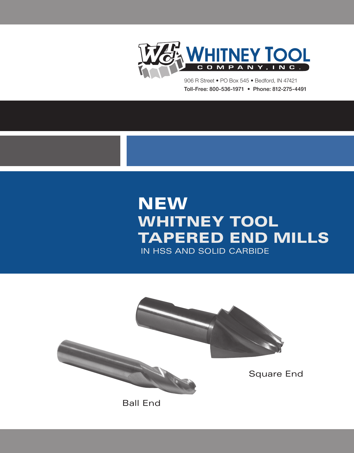

Toll-Free: 800-536-1971 • Phone: 812-275-4491 906 R Street • PO Box 545 • Bedford, IN 47421

# **NEW WHITNEY TOOL** Tapered End Mills in HSS and Solid Carbide

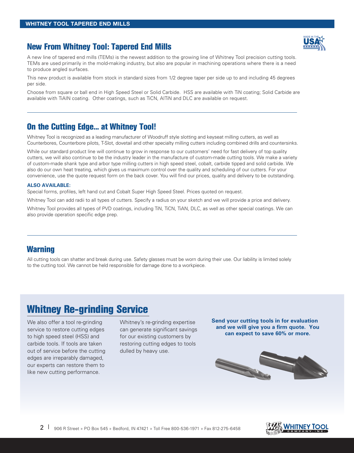# **New From Whitney Tool: Tapered End Mills**

A new line of tapered end mills (TEMs) is the newest addition to the growing line of Whitney Tool precision cutting tools. TEMs are used primarily in the mold-making industry, but also are popular in machining operations where there is a need to produce angled surfaces.

This new product is available from stock in standard sizes from 1/2 degree taper per side up to and including 45 degrees per side.

Choose from square or ball end in High Speed Steel or Solid Carbide. HSS are available with TiN coating; Solid Carbide are available with TiAIN coating. Other coatings, such as TiCN, AITiN and DLC are available on request.

# **On the Cutting Edge... at Whitney Tool!**

Whitney Tool is recognized as a leading manufacturer of Woodruff style slotting and keyseat milling cutters, as well as Counterbores, Counterbore pilots, T-Slot, dovetail and other specialty milling cutters including combined drills and countersinks.

While our standard product line will continue to grow in response to our customers' need for fast delivery of top quality cutters, we will also continue to be the industry leader in the manufacture of custom-made cutting tools. We make a variety of custom-made shank type and arbor type milling cutters in high speed steel, cobalt, carbide tipped and solid carbide. We also do our own heat treating, which gives us maximum control over the quality and scheduling of our cutters. For your convenience, use the quote request form on the back cover. You will find our prices, quality and delivery to be outstanding.

### **ALSO available:**

Special forms, profiles, left hand cut and Cobalt Super High Speed Steel. Prices quoted on request.

Whitney Tool can add radii to all types of cutters. Specify a radius on your sketch and we will provide a price and delivery.

Whitney Tool provides all types of PVD coatings, including TiN, TiCN, TiAN, DLC, as well as other special coatings. We can also provide operation specific edge prep.

# **Warning**

All cutting tools can shatter and break during use. Safety glasses must be worn during their use. Our liability is limited solely to the cutting tool. We cannot be held responsible for damage done to a workpiece.

# **Whitney Re-grinding Service**

We also offer a tool re-grinding service to restore cutting edges to high speed steel (HSS) and carbide tools. If tools are taken out of service before the cutting edges are irreparably damaged, our experts can restore them to like new cutting performance.

Whitney's re-grinding expertise can generate significant savings for our existing customers by restoring cutting edges to tools dulled by heavy use.

**Send your cutting tools in for evaluation and we will give you a firm quote. You can expect to save 60% or more.**



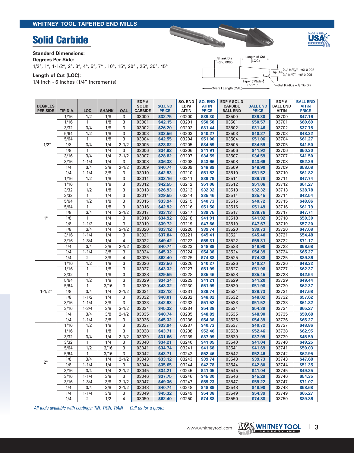# **Solid Carbide**





**Standard Dimensions:** 

### **Degrees Per Side:**

1/2°, 1°, 1-1/2°, 2°, 3°, 4°, 5°, 7° , 10°, 15°, 20° , 25°, 30°, 45°

**Length of Cut (LOC):** 

1/4 inch - 6 inches (1/4" increments)

| Shank Dia<br>$+0/0.0005$ | Length of Cut<br>(LOC)       |                                                                                                                                                                                  |
|--------------------------|------------------------------|----------------------------------------------------------------------------------------------------------------------------------------------------------------------------------|
|                          |                              | Tip Dia $\frac{\gamma_{6}}{\gamma_{4}}$ to $\frac{\gamma_{6}}{\gamma_{4}}$ : +0/-0.002<br>Tip Dia $\frac{\gamma_{4}}{\gamma_{4}}$ to $\frac{\gamma_{4}}{\gamma_{4}}$ : +0/-0.005 |
| Overall Length (OAL)     | Taper (°/Side)<br>$+/-0°10'$ | -Ball Radius = ½ Tip Dia                                                                                                                                                         |

| <b>DEGREES</b><br><b>PER SIDE</b> | TIP DIA.       | <b>LOC</b>     | <b>SHANK</b> | OAL       | EDP#<br><b>SOLID</b><br><b>CARBIDE</b> | <b>SQ.END</b><br><b>PRICE</b> | <b>SO. END</b><br>EDP#<br><b>AITIN</b> | <b>SQ. END</b><br><b>AITIN</b><br><b>PRICE</b> | <b>EDP # SOLID</b><br><b>CARBIDE</b><br><b>BALL END</b> | <b>BALL END</b><br><b>PRICE</b> | EDP#<br><b>BALL END</b><br>AITIN | <b>BALL END</b><br><b>AITIN</b><br><b>PRICE</b> |
|-----------------------------------|----------------|----------------|--------------|-----------|----------------------------------------|-------------------------------|----------------------------------------|------------------------------------------------|---------------------------------------------------------|---------------------------------|----------------------------------|-------------------------------------------------|
|                                   | 1/16           | 1/2            | 1/8          | 3         | 03000                                  | \$32.75                       | 03200                                  | \$39.30                                        | 03500                                                   | \$39.30                         | 03700                            | \$47.16                                         |
|                                   | 1/16           | $\mathbf{1}$   | 1/8          | 3         | 03001                                  | \$42.15                       | 03201                                  | \$50.58                                        | 03501                                                   | \$50.57                         | 03701                            | \$60.69                                         |
|                                   | 3/32           | 3/4            | 1/8          | 3         | 03002                                  | \$26.20                       | 03202                                  | \$31.44                                        | 03502                                                   | \$31.46                         | 03702                            | \$37.75                                         |
|                                   | 5/64           | 1/2            | 1/8          | 3         | 03003                                  | \$33.56                       | 03203                                  | \$40.27                                        | 03503                                                   | \$40.27                         | 03703                            | \$48.32                                         |
|                                   | 5/64           | 1              | 1/8          | 3         | 03004                                  | \$42.55                       | 03204                                  | \$51.06                                        | 03504                                                   | \$51.06                         | 03704                            | \$61.27                                         |
| $1/2^\circ$                       | 1/8            | 3/4            | 1/4          | $2 - 1/2$ | 03005                                  | \$28.82                       | 03205                                  | \$34.59                                        | 03505                                                   | \$34.59                         | 03705                            | \$41.50                                         |
|                                   | 1/8            | 1              | 1/4          | 3         | 03006                                  | \$34.92                       | 03206                                  | \$41.91                                        | 03506                                                   | \$41.92                         | 03706                            | \$50.30                                         |
|                                   | 3/16           | 3/4            | 1/4          | $2 - 1/2$ | 03007                                  | \$28.82                       | 03207                                  | \$34.59                                        | 03507                                                   | \$34.59                         | 03707                            | \$41.50                                         |
|                                   | 3/16           | $1 - 1/4$      | 1/4          | 3         | 03008                                  | \$36.38                       | 03208                                  | \$43.66                                        | 03508                                                   | \$43.66                         | 03708                            | \$52.39                                         |
|                                   | 1/4            | 3/4            | 3/8          | $2 - 1/2$ | 03009                                  | \$40.74                       | 03209                                  | \$48.89                                        | 03509                                                   | \$48.90                         | 03709                            | \$58.68                                         |
|                                   | 1/4            | $1 - 1/4$      | 3/8          | 3         | 03010                                  | \$42.93                       | 03210                                  | \$51.52                                        | 03510                                                   | \$51.52                         | 03710                            | \$61.82                                         |
|                                   | 1/16           | 1/2            | 1/8          | 3         | 03011                                  | \$33.16                       | 03211                                  | \$39.79                                        | 03511                                                   | \$39.78                         | 03711                            | \$47.74                                         |
|                                   | 1/16           | 1              | 1/8          | 3         | 03012                                  | \$42.55                       | 03212                                  | \$51.06                                        | 03512                                                   | \$51.06                         | 03712                            | \$61.27                                         |
|                                   | 3/32           | 1/2            | 1/8          | 3         | 03013                                  | \$26.93                       | 03213                                  | \$32.32                                        | 03513                                                   | \$32.32                         | 03713                            | \$38.78                                         |
|                                   | 3/32           | 1              | 1/4          | 3         | 03014                                  | \$29.55                       | 03214                                  | \$35.46                                        | 03514                                                   | \$35.45                         | 03714                            | \$42.54                                         |
|                                   | 5/64           | 1/2            | 1/8          | 3         | 03015                                  | \$33.94                       | 03215                                  | \$40.73                                        | 03515                                                   | \$40.72                         | 03715                            | \$48.86                                         |
|                                   | 5/64           | 1              | 1/8          | 3         | 03016                                  | \$42.92                       | 03216                                  | \$51.50                                        | 03516                                                   | \$51.49                         | 03716                            | \$61.79                                         |
|                                   | 1/8            | 3/4            | 1/4          | $2 - 1/2$ | 03017                                  | \$33.13                       | 03217                                  | \$39.75                                        | 03517                                                   | \$39.76                         | 03717                            | \$47.71                                         |
| $1^{\circ}$                       | 1/8            | 1              | 1/4          | 3         | 03018                                  | \$34.92                       | 03218                                  | \$41.91                                        | 03518                                                   | \$41.92                         | 03718                            | \$50.30                                         |
|                                   | 1/8            | $1 - 1/2$      | 1/4          | 3         | 03019                                  | \$39.72                       | 03219                                  | \$47.66                                        | 03519                                                   | \$47.67                         | 03719                            | \$57.20                                         |
|                                   | 1/8            | 3/4            | 1/4          | $2 - 1/2$ | 03020                                  | \$33.12                       | 03220                                  | \$39.74                                        | 03520                                                   | \$39.73                         | 03720                            | \$47.68                                         |
|                                   | 3/16           | $1 - 1/4$      | 1/4          | 3         | 03021                                  | \$37.84                       | 03221                                  | \$45.41                                        | 03521                                                   | \$45.40                         | 03721                            | \$54.48                                         |
|                                   | 3/16           | $1 - 3/4$      | 1/4          | 4         | 03022                                  | \$49.42                       | 03222                                  | \$59.31                                        | 03522                                                   | \$59.31                         | 03722                            | \$71.17                                         |
|                                   | 1/4            | 3/4            | 3/8          | $2 - 1/2$ | 03023<br>03024                         | \$40.74<br>\$45.32            | 03223                                  | \$48.89                                        | 03523                                                   | \$48.90                         | 03723                            | \$58.68                                         |
|                                   | 1/4<br>1/4     | $1 - 1/4$      | 3/8          | 3         |                                        |                               | 03224                                  | \$54.38                                        | 03524                                                   | \$54.39                         | 03724<br>03725                   | \$65.27                                         |
|                                   | 1/16           | 2<br>1/2       | 3/8<br>1/8   | 4<br>3    | 03025<br>03026                         | \$62.40<br>\$33.56            | 03225<br>03226                         | \$74.88<br>\$40.27                             | 03525<br>03526                                          | \$74.88<br>\$40.27              | 03726                            | \$89.86<br>\$48.32                              |
|                                   | 1/16           | 1              | 1/8          | 3         | 03027                                  | \$43.32                       | 03227                                  | \$51.99                                        | 03527                                                   | \$51.98                         | 03727                            | \$62.37                                         |
|                                   | 3/32           | 1              | 1/8          | 3         | 03028                                  | \$29.55                       | 03228                                  | \$35.46                                        | 03528                                                   | \$35.45                         | 03728                            | \$42.54                                         |
|                                   | 5/64           | 1/2            | 1/8          | 3         | 03029                                  | \$34.34                       | 03229                                  | \$41.21                                        | 03529                                                   | \$41.20                         | 03729                            | \$49.44                                         |
|                                   | 5/64           | 1              | 3/16         | 3         | 03030                                  | \$43.32                       | 03230                                  | \$51.99                                        | 03530                                                   | \$51.98                         | 03730                            | \$62.37                                         |
| $1 - 1/2^{\circ}$                 | 1/8            | 3/4            | 1/4          | $2 - 1/2$ | 03031                                  | \$33.12                       | 03231                                  | \$39.74                                        | 03531                                                   | \$39.73                         | 03731                            | \$47.68                                         |
|                                   | 1/8            | $1 - 1/2$      | 1/4          | 3         | 03032                                  | \$40.01                       | 03232                                  | \$48.02                                        | 03532                                                   | \$48.02                         | 03732                            | \$57.62                                         |
|                                   | 3/16           | $1 - 1/4$      | 3/8          | 3         | 03033                                  | \$42.93                       | 03233                                  | \$51.52                                        | 03533                                                   | \$51.52                         | 03733                            | \$61.82                                         |
|                                   | 3/16           | $1 - 3/4$      | 3/8          | $3 - 1/2$ | 03034                                  | \$45.32                       | 03234                                  | \$54.38                                        | 03534                                                   | \$54.39                         | 03734                            | \$65.27                                         |
|                                   | 1/4            | 3/4            | 3/8          | $2 - 1/2$ | 03035                                  | \$40.74                       | 03235                                  | \$48.89                                        | 03535                                                   | \$48.90                         | 03735                            | \$58.68                                         |
|                                   | 1/4            | $1 - 1/4$      | 3/8          | 3         | 03036                                  | \$45.32                       | 03236                                  | \$54.38                                        | 03536                                                   | \$54.39                         | 03736                            | \$65.27                                         |
|                                   | 1/16           | 1/2            | 1/8          | 3         | 03037                                  | \$33.94                       | 03237                                  | \$40.73                                        | 03537                                                   | \$40.72                         | 03737                            | \$48.86                                         |
|                                   | 1/16           | 1              | 1/8          | 3         | 03038                                  | \$43.71                       | 03238                                  | \$52.46                                        | 03538                                                   | \$52.46                         | 03738                            | \$62.95                                         |
|                                   | 3/32           | 3/4            | 1/4          | $2 - 1/2$ | 03039                                  | \$31.66                       | 03239                                  | \$37.99                                        | 03539                                                   | \$37.99                         | 03739                            | \$45.59                                         |
|                                   | $\frac{3}{32}$ | $\mathbf{1}$   | 1/4          | 3         | 03040                                  | \$34.21                       | 03240                                  | \$41.05                                        | 03540                                                   | \$41.04                         | 03740                            | \$49.25                                         |
|                                   | 5/64           | 1/2            | 3/16         | 3         | 03041                                  | \$34.74                       | 03241                                  | \$41.68                                        | 03541                                                   | \$41.69                         | 03741                            | \$50.03                                         |
|                                   | 5/64           | $\mathbf{1}$   | 3/16         | 3         | 03042                                  | \$43.71                       | 03242                                  | \$52.46                                        | 03542                                                   | \$52.46                         | 03742                            | \$62.95                                         |
|                                   | 1/8            | 3/4            | 1/4          | $2 - 1/2$ | 03043                                  | \$33.12                       | 03243                                  | \$39.74                                        | 03543                                                   | \$39.73                         | 03743                            | \$47.68                                         |
| $2^{\circ}$                       | 1/8            | $1 - 1/4$      | 1/4          | 3         | 03044                                  | \$35.65                       | 03244                                  | \$42.78                                        | 03544                                                   | \$42.80                         | 03744                            | \$51.35                                         |
|                                   | 3/16           | 3/4            | 1/4          | $2 - 1/2$ | 03045                                  | \$34.21                       | 03245                                  | \$41.05                                        | 03545                                                   | \$41.04                         | 03745                            | \$49.25                                         |
|                                   | 3/16           | $1 - 1/4$      | 3/8          | 3         | 03046                                  | \$37.75                       | 03246                                  | \$45.30                                        | 03546                                                   | \$45.29                         | 03746                            | \$54.35                                         |
|                                   | 3/16           | $1 - 3/4$      | 3/8          | $3 - 1/2$ | 03047                                  | \$49.36                       | 03247                                  | \$59.23                                        | 03547                                                   | \$59.22                         | 03747                            | \$71.07                                         |
|                                   | 1/4            | 3/4            | 3/8          | $2 - 1/2$ | 03048                                  | \$40.74                       | 03248                                  | \$48.89                                        | 03548                                                   | \$48.90                         | 03748                            | \$58.68                                         |
|                                   | 1/4            | $1 - 1/4$      | 3/8          | 3         | 03049                                  | \$45.32                       | 03249                                  | \$54.38                                        | 03549                                                   | \$54.39                         | 03749                            | \$65.27                                         |
|                                   | 1/4            | $\overline{2}$ | 1/2          | 4         | 03050                                  | \$62.40                       | 03250                                  | \$74.88                                        | 03550                                                   | \$74.88                         | 03750                            | \$89.86                                         |

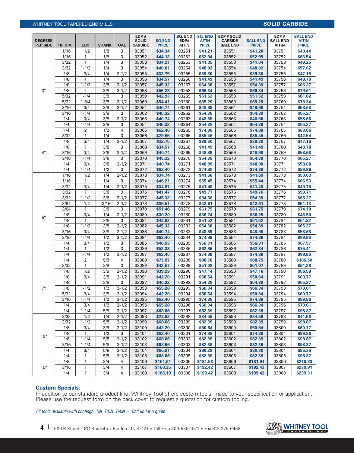# WHITNEY TOOL TAPERED END MILLS **SOLID CARBIDE**

| <b>DEGREES</b>  |                  |                     |                     |                        | EDP#<br><b>SOLID</b>    | <b>SQ.END</b>           | SQ. END<br>EDP#       | <b>SQ. END</b><br><b>AITIN</b> | <b>EDP # SOLID</b><br><b>CARBIDE</b> | <b>BALL END</b>         | EDP#<br><b>BALL END</b> | <b>BALL END</b><br><b>AITIN</b> |
|-----------------|------------------|---------------------|---------------------|------------------------|-------------------------|-------------------------|-----------------------|--------------------------------|--------------------------------------|-------------------------|-------------------------|---------------------------------|
| <b>PER SIDE</b> | TIP DIA.<br>1/16 | <b>LOC</b><br>1/2   | <b>SHANK</b><br>1/8 | OAL<br>3               | <b>CARBIDE</b><br>03051 | <b>PRICE</b><br>\$34.34 | <b>AITIN</b><br>03251 | <b>PRICE</b><br>\$41.21        | <b>BALL END</b><br>03551             | <b>PRICE</b><br>\$41.20 | <b>AITIN</b><br>03751   | <b>PRICE</b><br>\$49.44         |
|                 | 1/16             | 1                   | 1/8                 | 3                      | 03052                   | \$44.12                 | 03252                 | \$52.94                        | 03552                                | \$52.95                 | 03752                   | \$63.54                         |
|                 | 3/32             | $\mathbf{1}$        | 1/4                 | 3                      | 03053                   | \$34.21                 | 03253                 | \$41.05                        | 03553                                | \$41.04                 | 03753                   | \$49.25                         |
|                 | 3/32             | $1 - 1/2$           | 1/4                 | 3                      | 03054                   | \$40.01                 | 03254                 | \$48.02                        | 03554                                | \$48.02                 | 03754                   | \$57.62                         |
|                 | 1/8              | 3/4                 | 1/4                 | $2 - 1/2$              | 03055                   | \$32.75                 | 03255                 | \$39.30                        | 03555                                | \$39.30                 | 03755                   | \$47.16                         |
|                 | 1/8              | 1                   | 1/4                 | 3                      | 03056                   | \$34.57                 | 03256                 | \$41.49                        | 03556                                | \$41.49                 | 03756                   | \$49.78                         |
|                 | 1/8              | $1 - 1/2$           | 3/8                 | $3 - 1/2$              | 03057                   | \$45.32                 | 03257                 | \$54.38                        | 03557                                | \$54.39                 | 03757                   | \$65.27                         |
| $3^\circ$       | 1/8              | $\overline{2}$      | 3/8                 | $3 - 1/2$              | 03058                   | \$55.28                 | 03258                 | \$66.34                        | 03558                                | \$66.34                 | 03758                   | \$79.61                         |
|                 | 5/32             | $1 - 1/4$           | 3/8                 | 3                      | 03059                   | \$42.93                 | 03259                 | \$51.52                        | 03559                                | \$51.52                 | 03759                   | \$61.82                         |
|                 | $5/32$           | $1 - 3/4$           | 3/8<br>3/8          | $3 - 1/2$              | 03060                   | \$54.41                 | 03260                 | \$65.29                        | 03560                                | \$65.29                 | 03760<br>03761          | \$78.34                         |
|                 | 3/16<br>3/16     | 3/4<br>$1 - 1/4$    | 3/8                 | $2 - 1/2$<br>3         | 03061<br>03062          | \$40.74<br>\$45.32      | 03261<br>03262        | \$48.89<br>\$54.38             | 03561<br>03562                       | \$48.90<br>\$54.39      | 03762                   | \$58.68<br>\$65.27              |
|                 | 1/4              | 3/4                 | 3/8                 | $2 - 1/2$              | 03063                   | \$40.74                 | 03263                 | \$48.89                        | 03563                                | \$48.90                 | 03763                   | \$58.68                         |
|                 | 1/4              | $1 - 1/4$           | 3/8                 | 3                      | 03064                   | \$45.32                 | 03264                 | \$54.38                        | 03564                                | \$54.39                 | 03764                   | \$65.27                         |
|                 | 1/4              | $\overline{2}$      | 1/2                 | 4                      | 03065                   | \$62.40                 | 03265                 | \$74.88                        | 03565                                | \$74.88                 | 03765                   | \$89.86                         |
|                 | 3/32             | 1                   | 1/4                 | 3                      | 03066                   | \$29.55                 | 03266                 | \$35.46                        | 03566                                | \$35.45                 | 03766                   | \$42.54                         |
|                 | 1/8              | 3/4                 | 1/4                 | $2 - 1/2$              | 03067                   | \$32.75                 | 03267                 | \$39.30                        | 03567                                | \$39.30                 | 03767                   | \$47.16                         |
|                 | 1/8              | 1                   | 3/8                 | 3                      | 03068                   | \$34.57                 | 03268                 | \$41.49                        | 03568                                | \$41.49                 | 03768                   | \$49.78                         |
| $4^{\circ}$     | 3/16             | 3/4                 | 3/8                 | $2 - 1/2$              | 03069                   | \$40.74                 | 03269                 | \$48.89                        | 03569                                | \$48.90                 | 03769                   | \$58.68                         |
|                 | 3/16             | $1 - 1/4$           | 3/8                 | 3                      | 03070                   | \$45.32                 | 03270                 | \$54.38                        | 03570                                | \$54.39                 | 03770                   | \$65.27                         |
|                 | 1/4              | 3/4                 | 3/8                 | $2 - 1/2$              | 03071                   | \$40.74                 | 03271                 | \$48.89                        | 03571                                | \$48.90                 | 03771                   | \$58.68                         |
|                 | 1/4              | $1 - 1/4$           | 1/2                 | 3                      | 03072                   | \$62.40                 | 03272                 | \$74.88                        | 03572                                | \$74.88                 | 03772                   | \$89.86                         |
|                 | 1/16             | 1/2                 | 1/4                 | $2 - 1/2$              | 03073                   | \$34.74                 | 03273                 | \$41.68                        | 03573                                | \$41.69                 | 03773                   | \$50.03                         |
|                 | 1/16             | 1                   | 1/4                 | 3                      | 03074                   | \$46.21                 | 03274                 | \$55.45                        | 03574                                | \$55.44                 | 03774                   | \$66.53                         |
|                 | 3/32<br>3/32     | 3/4<br>$\mathbf{1}$ | 1/4<br>3/8          | $2 - 1/2$<br>3         | 03075<br>03076          | \$34.57<br>\$41.47      | 03275<br>03276        | \$41.49<br>\$49.77             | 03575<br>03576                       | \$41.49<br>\$49.76      | 03775<br>03776          | \$49.78<br>\$59.71              |
|                 | 3/32             | $1 - 1/2$           | 3/8                 | $3 - 1/2$              | 03077                   | \$45.32                 | 03277                 | \$54.38                        | 03577                                | \$54.39                 | 03777                   | \$65.27                         |
|                 | 3/64             | 1/2                 | 3/16                | $2 - 1/2$              | 03078                   | \$35.51                 | 03278                 | \$42.61                        | 03578                                | \$42.61                 | 03778                   | \$51.13                         |
|                 | 3/64             | $\mathbf{1}$        | 3/8                 | 3                      | 03079                   | \$51.46                 | 03279                 | \$61.75                        | 03579                                | \$61.75                 | 03779                   | \$74.10                         |
|                 | 1/8              | 3/4                 | 1/4                 | $2 - 1/2$              | 03080                   | \$30.20                 | 03280                 | \$36.24                        | 03580                                | \$36.25                 | 03780                   | \$43.50                         |
| $5^\circ$       | 1/8              | 1                   | 3/8                 | 3                      | 03081                   | \$42.93                 | 03281                 | \$51.52                        | 03581                                | \$51.52                 | 03781                   | \$61.82                         |
|                 | 1/8              | $1 - 1/2$           | 3/8                 | $3 - 1/2$              | 03082                   | \$45.32                 | 03282                 | \$54.38                        | 03582                                | \$54.39                 | 03782                   | \$65.27                         |
|                 | 3/16             | 3/4                 | 3/8                 | $2 - 1/2$              | 03083                   | \$40.74                 | 03283                 | \$48.89                        | 03583                                | \$48.90                 | 03783                   | \$58.68                         |
|                 | 3/16             | $1 - 1/4$           | 1/2                 | $3 - 1/2$              | 03084                   | \$62.40                 | 03284                 | \$74.88                        | 03584                                | \$74.88                 | 03784                   | \$89.86                         |
|                 | 1/4              | 3/4                 | 1/2                 | 3                      | 03085                   | \$46.93                 | 03285                 | \$56.31                        | 03585                                | \$56.31                 | 03785                   | \$67.57                         |
|                 | 1/4              | 1                   | 1/2                 | 3                      | 03086                   | \$52.38                 | 03286                 | \$62.86                        | 03586                                | \$62.84                 | 03786                   | \$75.41                         |
|                 | 1/4              | $1 - 1/4$           | 1/2                 | $3 - 1/2$              | 03087                   | \$62.40                 | 03287                 | \$74.88                        | 03587                                | \$74.88                 | 03787                   | \$89.86                         |
|                 | 1/4<br>3/32      | $\overline{2}$<br>1 | 5/8<br>3/8          | 4<br>3                 | 03088<br>03089          | \$73.97<br>\$42.57      | 03288<br>03289        | \$88.76<br>\$51.08             | 03588<br>03589                       | \$88.75<br>\$51.07      | 03788<br>03789          | \$106.50<br>\$61.28             |
|                 | 1/8              | 1/2                 | 3/8                 | $2 - 1/2$              | 03090                   | \$39.29                 | 03290                 | \$47.14                        | 03590                                | \$47.16                 | 03790                   | \$56.59                         |
|                 | 1/8              | 3/4                 | 3/8                 | $2 - 1/2$              | 03091                   | \$42.20                 | 03291                 | \$50.64                        | 03591                                | \$50.64                 | 03791                   | \$60.77                         |
|                 | 1/8              | 1                   | 3/8                 | 3                      | 03092                   | \$45.32                 | 03292                 | \$54.38                        | 03592                                | \$54.39                 | 03792                   | \$65.27                         |
| $7^\circ$       | 1/8              | $1 - 1/2$           | 1/2                 | $3 - 1/2$              | 03093                   | \$55.28                 | 03293                 | \$66.34                        | 03593                                | \$66.34                 | 03793                   | \$79.61                         |
|                 | 5/32             | 3/4                 | 3/8                 | $2 - 1/2$              | 03094                   | \$42.20                 | 03294                 | \$50.64                        | 03594                                | \$50.64                 | 03794                   | \$60.77                         |
|                 | 3/16             | $1 - 1/4$           | 1/2                 | $3 - 1/2$              | 03095                   | \$62.40                 | 03295                 | \$74.88                        | 03595                                | \$74.88                 | 03795                   | \$89.86                         |
|                 | 1/4              | 3/4                 | 1/2                 | $2 - 1/2$              | 03096                   | \$55.28                 | 03296                 | \$66.34                        | 03596                                | \$66.34                 | 03796                   | \$79.61                         |
|                 | 1/4              | $1 - 1/4$           | 5/8                 | $3 - 1/2$              | 03097                   | \$68.66                 | 03297                 | \$82.39                        | 03597                                | \$82.39                 | 03797                   | \$98.87                         |
|                 | 3/32             | 1/2                 | 1/4                 | $2 - 1/2$              | 03098                   | \$28.82                 | 03298                 | \$34.59                        | 03598                                | \$34.59                 | 03798                   | \$41.50                         |
|                 | 3/32             | $1 - 1/2$           | 5/8                 | $3 - 1/2$              | 03099                   | \$68.66                 | 03299                 | \$82.39                        | 03599                                | \$82.39                 | 03799                   | \$98.87                         |
|                 | 1/8              | 3/4                 | 3/8                 | $2 - 1/2$              | 03100                   | \$42.20                 | 03300                 | \$50.64                        | 03600                                | \$50.64                 | 03800                   | \$60.77                         |
| $10^{\circ}$    | 1/8              | 1                   | 1/2                 | 3                      | 03101                   | \$62.40                 | 03301                 | \$74.88                        | 03601                                | \$74.88                 | 03801                   | \$89.86                         |
|                 | 1/8              | $1 - 1/4$           | 5/8                 | $3 - 1/2$              | 03102                   | \$68.66                 | 03302                 | \$82.39                        | 03602                                | \$82.39                 | 03802                   | \$98.87                         |
|                 | 3/16<br>1/4      | $1 - 1/4$<br>3/4    | 5/8<br>5/8          | $3 - 1/2$<br>$3 - 1/2$ | 03103<br>03104          | \$68.66<br>\$66.91      | 03303<br>03304        | \$82.39<br>\$80.29             | 03603<br>03604                       | \$82.39<br>\$80.30      | 03803<br>03804          | \$98.87<br>\$96.36              |
|                 | 1/4              | 1                   | 5/8                 | $3 - 1/2$              | 03105                   | \$68.66                 | 03305                 | \$82.39                        | 03605                                | \$82.39                 | 03805                   | \$98.87                         |
|                 | 1/8              | 1                   | 3/4                 | 4                      | 03106                   | \$151.61                | 03306                 | \$181.93                       | 03606                                | \$181.94                | 03806                   | \$218.33                        |
| $15^{\circ}$    | 3/16             | 1                   | 3/4                 | 4                      | 03107                   | \$160.35                | 03307                 | \$192.42                       | 03607                                | \$192.43                | 03807                   | \$230.91                        |
|                 | 1/4              | 1                   | 3/4                 | 4                      | 03108                   | \$166.19                | 03308                 | \$199.42                       | 03608                                | \$199.42                | 03808                   | \$239.31                        |

### **Custom Specials:**

In addition to our standard product line, Whitney Tool offers custom tools, made to your specification or application. Please use the request form on the back cover to request a quotation for custom tooling.

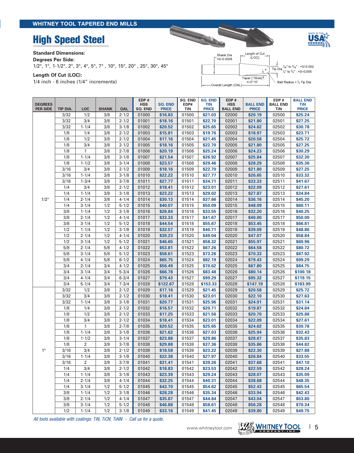# **High Speed Steel**

### **Standard Dimensions:**

**Degrees Per Side:** 

1/2°, 1°, 1-1/2°, 2°, 3°, 4°, 5°, 7° , 10°, 15°, 20° , 25°, 30°, 45°

**Length Of Cut (LOC):** 

1/4 inch - 6 inches (1/4" increments)



| <b>DEGREES</b><br><b>PER SIDE</b> | TIP DIA.   | <b>LOC</b>             | <b>SHANK</b> | <b>OAL</b>             | EDP#<br><b>HSS</b><br><b>SO. END</b> | <b>SQ. END</b><br><b>PRICE</b> | SQ. END<br>EDP#<br>TiN | <b>SQ. END</b><br><b>TIN</b><br><b>PRICE</b> | EDP#<br><b>HSS</b><br><b>BALL END</b> | <b>BALL END</b><br><b>PRICE</b> | EDP#<br><b>BALL END</b><br>TiN | <b>BALL END</b><br><b>TiN</b><br><b>PRICE</b> |
|-----------------------------------|------------|------------------------|--------------|------------------------|--------------------------------------|--------------------------------|------------------------|----------------------------------------------|---------------------------------------|---------------------------------|--------------------------------|-----------------------------------------------|
|                                   | 3/32       | 1/2                    | 3/8          | $2 - 1/2$              | 01000                                | \$16.83                        | 01500                  | \$21.03                                      | 02000                                 | \$20.19                         | 02500                          | \$25.24                                       |
|                                   | 3/32       | 3/4                    | 3/8          | $2 - 1/2$              | 01001                                | \$18.16                        | 01501                  | \$22.70                                      | 02001                                 | \$21.80                         | 02501                          | \$27.25                                       |
|                                   | 3/32       | $1 - 1/4$              | 3/8          | $3 - 1/8$              | 01002                                | \$20.52                        | 01502                  | \$25.65                                      | 02002                                 | \$24.62                         | 02502                          | \$30.78                                       |
|                                   | 1/8        | 1/4                    | 3/8          | $2 - 1/2$              | 01003                                | \$15.81                        | 01503                  | \$19.76                                      | 02003                                 | \$18.97                         | 02503                          | \$23.71                                       |
|                                   | 1/8        | 1/2                    | 3/8          | $2 - 1/2$              | 01004                                | \$17.16                        | 01504                  | \$21.45                                      | 02004                                 | \$20.58                         | 02504                          | \$25.72                                       |
|                                   | 1/8        | 3/4                    | 3/8          | $2 - 1/2$              | 01005                                | \$18.16                        | 01505                  | \$22.70                                      | 02005                                 | \$21.80                         | 02505                          | \$27.25                                       |
|                                   | 1/8        | $\mathbf{1}$           | 3/8          | $2 - 7/8$              | 01006                                | \$20.19                        | 01506                  | \$25.24                                      | 02006                                 | \$24.23                         | 02506                          | \$30.29                                       |
|                                   | 1/8        | $1 - 1/4$              | 3/8          | $3 - 1/8$              | 01007                                | \$21.54                        | 01507                  | \$26.92                                      | 02007                                 | \$25.84                         | 02507                          | \$32.30                                       |
|                                   | 1/8        | $1 - 1/2$              | 3/8          | $3 - 1/4$              | 01008                                | \$23.57                        | 01508                  | \$29.46                                      | 02008                                 | \$28.29                         | 02508                          | \$35.36                                       |
|                                   | 3/16       | 3/4                    | 3/8          | $2 - 1/2$              | 01009                                | \$18.16                        | 01509                  | \$22.70                                      | 02009                                 | \$21.80                         | 02509                          | \$27.25                                       |
|                                   | 3/16       | $1 - 1/4$              | 3/8          | $3 - 1/8$              | 01010                                | \$22.22                        | 01510                  | \$27.77                                      | 02010                                 | \$26.65                         | 02510                          | \$33.32                                       |
|                                   | 3/16       | $1 - 3/4$              | 3/8          | $3 - 7/8$              | 01011                                | \$27.77                        | 01511                  | \$34.71                                      | 02011                                 | \$33.33                         | 02511                          | \$41.67                                       |
|                                   | 1/4        | 3/4                    | 3/8          | $2 - 1/2$              | 01012                                | \$18.41                        | 01512                  | \$23.01                                      | 02012                                 | \$22.09                         | 02512                          | \$27.61                                       |
|                                   | 1/4        | $1 - 1/4$              | 3/8          | $3 - 1/8$              | 01013                                | \$23.22                        | 01513                  | \$29.02                                      | 02013                                 | \$27.87                         | 02513                          | \$34.84                                       |
| $1/2^\circ$                       | 1/4        | $2 - 1/4$              | 3/8          | $4 - 1/4$              | 01014                                | \$30.13                        | 01514                  | \$37.66                                      | 02014                                 | \$36.16                         | 02514                          | \$45.20                                       |
|                                   | 1/4        | $3 - 1/4$              | 1/2          | $5 - 1/2$              | 01015                                | \$40.07                        | 01515                  | \$50.09                                      | 02015                                 | \$48.09                         | 02515                          | \$60.11                                       |
|                                   | 3/8        | $1 - 1/4$              | 1/2          | $3 - 1/8$              | 01016                                | \$26.84                        | 01516                  | \$33.55                                      | 02016                                 | \$32.20                         | 02516                          | \$40.25                                       |
|                                   | 3/8        | $2 - 1/4$              | 1/2          | $4 - 1/4$              | 01017                                | \$33.33                        | 01517                  | \$41.67                                      | 02017                                 | \$40.00                         | 02517                          | \$50.00                                       |
|                                   | 3/8        | $3 - 1/4$              | 1/2          | $5 - 1/2$              | 01018                                | \$44.54                        | 01518                  | \$55.67                                      | 02018                                 | \$53.45                         | 02518                          | \$66.81                                       |
|                                   | 1/2        | $1 - 1/4$              | 1/2          | $3 - 1/8$              | 01019                                | \$32.57                        | 01519                  | \$40.71                                      | 02019                                 | \$39.09                         | 02519                          | \$48.86                                       |
|                                   | 1/2        | $2 - 1/4$              | 1/2          | $4 - 1/4$              | 01020                                | \$39.23                        | 01520                  | \$49.04                                      | 02020                                 | \$47.07                         | 02520                          | \$58.84                                       |
|                                   | 1/2        | $3 - 1/4$              | 1/2          | $5 - 1/2$              | 01021                                | \$46.65                        | 01521                  | \$58.32                                      | 02021                                 | \$55.97                         | 02521                          | \$69.96                                       |
|                                   | 5/8        | $2 - 1/4$              | 5/8          | $4 - 1/2$              | 01022                                | \$53.81                        | 01522                  | \$67.26                                      | 02022                                 | \$64.58                         | 02522                          | \$80.72                                       |
|                                   | 5/8        | $3 - 1/4$              | 5/8          | $5 - 1/2$              | 01023                                | \$58.61                        | 01523                  | \$73.26                                      | 02023                                 | \$70.33                         | 02523                          | \$87.92                                       |
|                                   | 5/8        | $4 - 1/4$              | 5/8          | $6 - 1/2$              | 01024                                | \$65.75                        | 01524                  | \$82.19                                      | 02024                                 | \$79.43                         | 02524                          | \$99.29                                       |
|                                   | 3/4        | $2 - 1/4$              | 3/4          | $4 - 1/2$              | 01025                                | \$56.49                        | 01525                  | \$70.62                                      | 02025                                 | \$67.80                         | 02525                          | \$84.75                                       |
|                                   | 3/4<br>3/4 | $3 - 1/4$              | 3/4          | $5 - 3/4$              | 01026                                | \$66.78                        | 01526                  | \$83.48                                      | 02026                                 | \$80.14                         | 02526<br>02527                 | \$100.18                                      |
|                                   | 3/4        | $4 - 1/4$<br>$5 - 1/4$ | 3/4<br>3/4   | $6 - 3/4$<br>$7 - 3/4$ | 01027<br>01028                       | \$79.43<br>\$122.67            | 01527<br>01528         | \$99.29<br>\$153.33                          | 02027<br>02028                        | \$95.32<br>\$147.19             | 02528                          | \$119.15<br>\$183.99                          |
|                                   | 3/32       | 1/2                    | 3/8          | $2 - 1/2$              | 01029                                | \$17.16                        | 01529                  | \$21.45                                      | 02029                                 | \$20.58                         | 02529                          | \$25.72                                       |
|                                   | 3/32       | 3/4                    | 3/8          | $2 - 1/2$              | 01030                                | \$18.41                        | 01530                  | \$23.01                                      | 02030                                 | \$22.10                         | 02530                          | \$27.63                                       |
|                                   | 3/32       | $1 - 1/4$              | 3/8          | $3 - 1/8$              | 01031                                | \$20.77                        | 01531                  | \$25.96                                      | 02031                                 | \$24.91                         | 02531                          | \$31.14                                       |
|                                   | 1/8        | 1/4                    | 3/8          | $2 - 1/2$              | 01032                                | \$16.57                        | 01532                  | \$20.71                                      | 02032                                 | \$19.87                         | 02532                          | \$24.84                                       |
|                                   | 1/8        | 1/2                    | 3/8          | $2 - 1/2$              | 01033                                | \$17.25                        | 01533                  | \$21.56                                      | 02033                                 | \$20.70                         | 02533                          | \$25.88                                       |
|                                   | 1/8        | 3/4                    | 3/8          | $2 - 1/2$              | 01034                                | \$18.41                        | 01534                  | \$23.01                                      | 02034                                 | \$22.09                         | 02534                          | \$27.61                                       |
|                                   | 1/8        | 1                      | 3/8          | $2 - 7/8$              | 01035                                | \$20.52                        | 01535                  | \$25.65                                      | 02035                                 | \$24.62                         | 02535                          | \$30.78                                       |
|                                   | 1/8        | $1 - 1/4$              | 3/8          | $3 - 1/8$              | 01036                                | \$21.62                        | 01536                  | \$27.03                                      | 02036                                 | \$25.94                         | 02536                          | \$32.43                                       |
|                                   | 1/8        | $1 - 1/2$              | 3/8          | $3 - 1/4$              | 01037                                | \$23.88                        | 01537                  | \$29.86                                      | 02037                                 | \$28.67                         | 02537                          | \$35.83                                       |
|                                   | 1/8        | $\overline{a}$         | 3/8          | $3 - 7/8$              | 01038                                | \$29.88                        | 01538                  | \$37.36                                      | 02038                                 | \$35.86                         | 02538                          | \$44.82                                       |
| $1^{\circ}$                       | 3/16       | 3/4                    | 3/8          | $2 - 1/2$              | 01039                                | \$18.58                        | 01539                  | \$23.22                                      | 02039                                 | \$22.30                         | 02539                          | \$27.88                                       |
|                                   | 3/16       | $1 - 1/4$              | 3/8          | $3 - 1/8$              | 01040                                | \$22.38                        | 01540                  | \$27.97                                      | 02040                                 | \$26.84                         | 02540                          | \$33.55                                       |
|                                   | 3/16       | $\overline{2}$         | 3/8          | $3 - 7/8$              | 01041                                | \$31.41                        | 01541                  | \$39.26                                      | 02041                                 | \$37.68                         | 02541                          | \$47.10                                       |
|                                   | 1/4        | 3/4                    | 3/8          | $2 - 1/2$              | 01042                                | \$18.83                        | 01542                  | \$23.53                                      | 02042                                 | \$22.59                         | 02542                          | \$28.24                                       |
|                                   | 1/4        | $1 - 1/4$              | 3/8          | $3 - 1/8$              | 01043                                | \$23.39                        | 01543                  | \$29.24                                      | 02043                                 | \$28.07                         | 02543                          | \$35.09                                       |
|                                   | 1/4        | $2 - 1/4$              | 3/8          | $4 - 1/4$              | 01044                                | \$32.25                        | 01544                  | \$40.31                                      | 02044                                 | \$38.68                         | 02544                          | \$48.35                                       |
|                                   | 1/4        | $3 - 1/4$              | 1/2          | $5 - 1/2$              | 01045                                | \$43.70                        | 01545                  | \$54.62                                      | 02045                                 | \$52.43                         | 02545                          | \$65.54                                       |
|                                   | 3/8        | $1 - 1/4$              | 1/2          | $3 - 1/8$              | 01046                                | \$28.28                        | 01546                  | \$35.34                                      | 02046                                 | \$33.94                         | 02546                          | \$42.43                                       |
|                                   | 3/8        | $2 - 1/4$              | 1/2          | $4 - 1/4$              | 01047                                | \$35.87                        | 01547                  | \$44.84                                      | 02047                                 | \$43.04                         | 02547                          | \$53.80                                       |
|                                   | 3/8        | $3 - 1/4$              | 1/2          | $5 - 1/2$              | 01048                                | \$46.88                        | 01548                  | \$58.61                                      | 02048                                 | \$56.28                         | 02548                          | \$70.34                                       |
|                                   | 1/2        | $1 - 1/4$              | 1/2          | $3 - 1/8$              | 01049                                | \$33.16                        | 01549                  | \$41.45                                      | 02049                                 | \$39.80                         | 02549                          | \$49.75                                       |



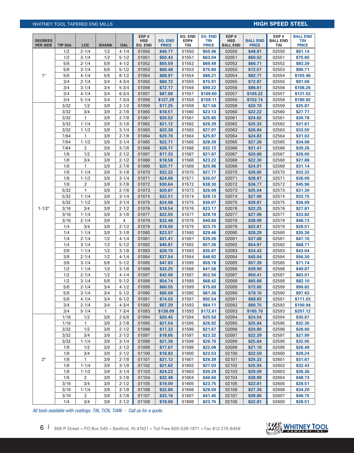# Whitney Tool Tapered END MILLS **HIGH SPEED STEEL**

|                                   |              |                        |              |                        | EDP#                  |                                | SQ. END        | <b>SQ. END</b>             | EDP#                          |                                 | EDP#                   | <b>BALL END</b>     |
|-----------------------------------|--------------|------------------------|--------------|------------------------|-----------------------|--------------------------------|----------------|----------------------------|-------------------------------|---------------------------------|------------------------|---------------------|
| <b>DEGREES</b><br><b>PER SIDE</b> | TIP DIA.     | <b>LOC</b>             | <b>SHANK</b> | OAL                    | <b>HSS</b><br>SQ. END | <b>SQ. END</b><br><b>PRICE</b> | EDP#<br>TiN    | <b>TIN</b><br><b>PRICE</b> | <b>HSS</b><br><b>BALL END</b> | <b>BALL END</b><br><b>PRICE</b> | <b>BALL END</b><br>TiN | TiN<br><b>PRICE</b> |
|                                   | 1/2          | $2 - 1/4$              | 1/2          | $4 - 1/4$              | 01050                 | \$40.77                        | 01550          | \$50.96                    | 02050                         | \$48.91                         | 02550                  | \$61.14             |
|                                   | 1/2          | $3 - 1/4$              | 1/2          | $5 - 1/2$              | 01051                 | \$50.43                        | 01551          | \$63.04                    | 02051                         | \$60.52                         | 02551                  | \$75.65             |
|                                   | 5/8          | $2 - 1/4$              | 5/8          | $4 - 1/2$              | 01052                 | \$55.59                        | 01552          | \$69.49                    | 02052                         | \$66.71                         | 02552                  | \$83.39             |
|                                   | 5/8          | $3 - 1/4$              | 5/8          | $5 - 1/2$              | 01053                 | \$60.48                        | 01553          | \$75.60                    | 02053                         | \$72.57                         | 02553                  | \$90.71             |
| $1^{\circ}$                       | 5/8          | $4 - 1/4$              | 5/8          | $6 - 1/2$              | 01054                 | \$68.97                        | 01554          | \$86.21                    | 02054                         | \$82.77                         | 02554                  | \$103.46            |
|                                   | 3/4          | $2 - 1/4$              | 3/4          | $4 - 3/4$              | 01055                 | \$60.72                        | 01555          | \$75.91                    | 02055                         | \$72.87                         | 02555                  | \$91.09             |
|                                   | 3/4          | $3 - 1/4$              | 3/4          | $5 - 3/4$              | 01056                 | \$72.17                        | 01556          | \$90.22                    | 02056                         | \$86.61                         | 02556                  | \$108.26            |
|                                   | 3/4          | $4 - 1/4$              | 3/4          | $6 - 3/4$              | 01057                 | \$87.68                        | 01557          | \$109.60                   | 02057                         | \$105.22                        | 02557                  | \$131.52            |
|                                   | 3/4          | $5 - 1/4$              | 3/4          | $7 - 3/4$              | 01058                 | \$127.29                       | 01558          | \$159.11                   | 02058                         | \$152.74                        | 02558                  | \$190.92            |
|                                   | 3/32         | 1/2                    | 3/8          | $2 - 1/2$              | 01059                 | \$17.25                        | 01559          | \$21.56                    | 02059                         | \$20.70                         | 02559                  | \$25.87             |
|                                   | 3/32         | 3/4                    | 3/8          | $2 - 7/8$              | 01060                 | \$18.51                        | 01560          | \$23.13                    | 02060                         | \$22.22                         | 02560                  | \$27.77             |
|                                   | 3/32         | $\mathbf{1}$           | 3/8          | $2 - 7/8$              | 01061                 | \$20.52                        | 01561          | \$25.65                    | 02061                         | \$24.62                         | 02561                  | \$30.78             |
|                                   | 3/32         | $1 - 1/4$              | 3/8          | $3 - 1/8$              | 01062                 | \$21.12                        | 01562          | \$26.39                    | 02062                         | \$25.33                         | 02562                  | \$31.67             |
|                                   | 3/32         | $1 - 1/2$              | 3/8          | $3 - 1/4$              | 01063                 | \$22.38                        | 01563          | \$27.97                    | 02063                         | \$26.84                         | 02563                  | \$33.55             |
|                                   | 7/64         | 1                      | 3/8          | $2 - 7/8$              | 01064                 | \$20.70                        | 01564          | \$25.87                    | 02064                         | \$24.83                         | 02564                  | \$31.03             |
|                                   | 7/64         | $1 - 1/2$              | 3/8          | $3 - 1/4$              | 01065                 | \$22.71                        | 01565          | \$28.39                    | 02065                         | \$27.26                         | 02565                  | \$34.08             |
|                                   | 7/64         | $\overline{2}$         | 3/8          | $3 - 7/8$              | 01066                 | \$26.17                        | 01566          | \$32.72                    | 02066                         | \$31.41                         | 02566                  | \$39.26             |
|                                   | 1/8          | 1/2                    | 3/8          | $2 - 1/2$              | 01067                 | \$17.33                        | 01567          | \$21.67                    | 02067                         | \$20.80                         | 02567                  | \$26.00             |
|                                   | 1/8          | 3/4                    | 3/8          | $2 - 1/2$              | 01068                 | \$18.58                        | 01568          | \$23.22                    | 02068                         | \$22.30                         | 02568                  | \$27.88             |
|                                   | 1/8          | $\mathbf{1}$           | 3/8          | $2 - 7/8$              | 01069                 | \$20.77                        | 01569          | \$25.96                    | 02069                         | \$24.91                         | 02569                  | \$31.14             |
|                                   | 1/8          | $1 - 1/4$              | 3/8          | $3 - 1/8$              | 01070                 | \$22.22                        | 01570          | \$27.77                    | 02070                         | \$26.65                         | 02570                  | \$33.32             |
|                                   | 1/8          | $1 - 1/2$              | 3/8          | $3 - 1/4$              | 01071                 | \$24.06                        | 01571          | \$30.07                    | 02071                         | \$28.87                         | 02571                  | \$36.09             |
|                                   | 1/8          | $\overline{2}$         | 3/8          | $3 - 7/8$              | 01072                 | \$30.64                        | 01572          | \$38.30                    | 02072                         | \$36.77                         | 02572                  | \$45.96             |
|                                   | 5/32         | $\mathbf{1}$           | 3/8          | $2 - 7/8$              | 01073                 | \$20.87                        | 01573          | \$26.09                    | 02073                         | \$25.04                         | 02573                  | \$31.30             |
|                                   | 5/32         | $1 - 1/4$              | 3/8          | $3 - 1/4$              | 01074                 | \$22.51                        | 01574          | \$28.13                    | 02074                         | \$27.00                         | 02574                  | \$33.75             |
|                                   | 5/32         | $1 - 1/2$              | 3/8          | $3 - 1/4$              | 01075                 | \$24.06                        | 01575          | \$30.07                    | 02075                         | \$28.87                         | 02575                  | \$36.09             |
| $1 - 1/2$ °                       | 3/16         | 3/4                    | 3/8          | $2 - 1/2$              | 01076                 | \$18.54                        | 01576          | \$23.17                    | 02076                         | \$22.25                         | 02576                  | \$27.81             |
|                                   | 3/16         | $1 - 1/4$              | 3/8          | $3 - 1/8$              | 01077                 | \$22.55                        | 01577          | \$28.19                    | 02077                         | \$27.06                         | 02577                  | \$33.82             |
|                                   | 3/16         | $2 - 1/4$              | 3/8          | 4                      | 01078                 | \$32.48                        | 01578          | \$40.60                    | 02078                         | \$38.99                         | 02578                  | \$48.73             |
|                                   | 1/4          | 3/4                    | 3/8          | $2 - 1/2$              | 01079                 | \$19.00                        | 01579          | \$23.75                    | 02079                         | \$22.81                         | 02579                  | \$28.51             |
|                                   | 1/4          | $1 - 1/4$              | 3/8          | $3 - 1/8$              | 01080                 | \$23.57                        | 01580          | \$29.46                    | 02080                         | \$28.29                         | 02580                  | \$35.36             |
|                                   | 1/4          | $2 - 1/4$              | 1/2          | $4 - 1/4$              | 01081                 | \$31.41                        | 01581          | \$39.26                    | 02081                         | \$37.68                         | 02581                  | \$47.10             |
|                                   | 1/4          | $3 - 1/4$              | 1/2          | $5 - 1/2$              | 01082                 | \$45.81                        | 01582          | \$57.26<br>\$35.87         | 02082                         | \$54.97<br>\$34.43              | 02582                  | \$68.71             |
|                                   | 3/8<br>3/8   | $1 - 1/4$<br>$2 - 1/4$ | 1/2<br>1/2   | $3 - 1/8$<br>$4 - 1/4$ | 01083<br>01084        | \$28.70<br>\$37.54             | 01583<br>01584 | \$46.92                    | 02083<br>02084                | \$45.04                         | 02583<br>02584         | \$43.04<br>\$56.30  |
|                                   | 3/8          | $3 - 1/4$              | 5/8          | $5 - 1/2$              | 01085                 | \$47.83                        | 01585          | \$59.78                    | 02085                         | \$57.39                         | 02585                  | \$71.74             |
|                                   | 1/2          | $1 - 1/4$              | 1/2          | $3 - 1/8$              | 01086                 | \$33.25                        | 01586          | \$41.56                    | 02086                         | \$39.90                         | 02586                  | \$49.87             |
|                                   | 1/2          | $2 - 1/4$              | 1/2          | $4 - 1/4$              | 01087                 | \$42.00                        | 01587          | \$52.50                    | 02087                         | \$50.41                         | 02587                  | \$63.01             |
|                                   | 1/2          | $3 - 1/4$              | 5/8          | $5 - 1/2$              | 01088                 | \$54.74                        | 01588          | \$68.42                    | 02088                         | \$65.68                         | 02588                  | \$82.10             |
|                                   | 5/8          | $2 - 1/4$              | 3/4          | $4 - 1/2$              | 01089                 | \$60.55                        | 01589          | \$75.69                    | 02089                         | \$72.65                         | 02589                  | \$90.82             |
|                                   | 5/8          | $3 - 1/4$              | 3/4          | $5 - 1/2$              | 01090                 | \$65.09                        | 01590          | \$81.36                    | 02090                         | \$78.10                         | 02590                  | \$97.63             |
|                                   | 5/8          | $4 - 1/4$              | 3/4          | $6 - 1/2$              | 01091                 | \$74.03                        | 01591          | \$92.54                    | 02091                         | \$88.83                         | 02591                  | \$111.03            |
|                                   | 3/4          | $2 - 1/4$              | 3/4          | $4 - 3/4$              | 01092                 | \$67.29                        | 01592          | \$84.11                    | 02092                         | \$80.75                         | 02592                  | \$100.94            |
|                                   | 3/4          | $5 - 1/4$              | 1            | $7 - 3/4$              | 01093                 | \$138.09                       | 01593          | \$172.61                   | 02093                         | \$165.70                        | 02593                  | \$207.12            |
|                                   | 1/16         | 1/2                    | 3/8          | $2 - 5/8$              | 01094                 | \$20.45                        | 01594          | \$25.56                    | 02094                         | \$24.54                         | 02594                  | \$30.67             |
|                                   | 1/16         | 1                      | 3/8          | $2 - 7/8$              | 01095                 | \$21.54                        | 01595          | \$26.92                    | 02095                         | \$25.84                         | 02595                  | \$32.30             |
|                                   | 3/32         | 1/2                    | 3/8          | $2 - 1/2$              | 01096                 | \$17.33                        | 01596          | \$21.67                    | 02096                         | \$20.80                         | 02596                  | \$26.00             |
|                                   | 3/32         | 3/4                    | 3/8          | $2 - 1/2$              | 01097                 | \$18.65                        | 01597          | \$23.32                    | 02097                         | \$22.39                         | 02597                  | \$27.99             |
|                                   | 3/32         | $1 - 1/4$              | 3/8          | $3 - 1/4$              | 01098                 | \$21.36                        | 01598          | \$26.70                    | 02098                         | \$25.64                         | 02598                  | \$32.05             |
|                                   | 1/8          | 1/2                    | 3/8          | $2 - 1/2$              | 01099                 | \$17.67                        | 01599          | \$22.08                    | 02099                         | \$21.19                         | 02599                  | \$26.49             |
|                                   | 1/8          | 3/4                    | 3/8          | $2 - 1/2$              | 01100                 | \$18.83                        | 01600          | \$23.53                    | 02100                         | \$22.59                         | 02600                  | \$28.24             |
| $2^{\circ}$                       | 1/8          | $\mathbf{1}$           | 3/8          | $2 - 7/8$              | 01101                 | \$21.12                        | 01601          | \$26.39                    | 02101                         | \$25.33                         | 02601                  | \$31.67             |
|                                   | 1/8          | $1 - 1/4$              | 3/8          | $3 - 1/8$              | 01102                 | \$21.62                        | 01602          | \$27.03                    | 02102                         | \$25.94                         | 02602                  | \$32.43             |
|                                   | 1/8          | $1 - 1/2$              | 3/8          | $3 - 1/4$              | 01103                 | \$24.23                        | 01603          | \$30.29                    | 02103                         | \$29.09                         | 02603                  | \$36.36             |
|                                   | 1/8          | $\overline{2}$         | 3/8          | $3 - 7/8$              | 01104                 | \$32.48                        | 01604          | \$40.60                    | 02104                         | \$38.99                         | 02604                  | \$48.73             |
|                                   | 3/16<br>3/16 | 3/4<br>$1 - 1/4$       | 3/8<br>3/8   | $2 - 1/2$<br>$3 - 1/8$ | 01105<br>01106        | \$19.00<br>\$22.80             | 01605<br>01606 | \$23.75<br>\$28.50         | 02105<br>02106                | \$22.81<br>\$27.36              | 02605<br>02606         | \$28.51<br>\$34.20  |
|                                   | 3/16         | $\overline{2}$         | 3/8          | $3 - 7/8$              | 01107                 | \$33.16                        | 01607          | \$41.45                    | 02107                         | \$39.80                         | 02607                  | \$49.75             |
|                                   | 1/4          | 3/4                    | 3/8          | $2 - 1/2$              | 01108                 | \$19.00                        | 01608          | \$23.75                    | 02108                         | \$22.81                         | 02608                  | \$28.51             |

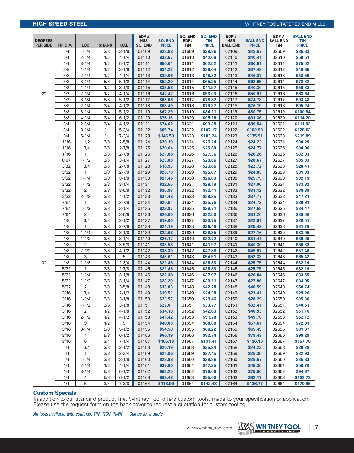# **HIGH SPEED STEEL** Whitney Tool Tapered END MILLS

| <b>DEGREES</b><br><b>PER SIDE</b> | TIP DIA.     | <b>LOC</b>       | <b>SHANK</b> | <b>OAL</b>             | EDP#<br><b>HSS</b><br>SQ. END | <b>SQ. END</b><br><b>PRICE</b> | <b>SO. END</b><br>EDP#<br>TiN | <b>SQ. END</b><br><b>TIN</b><br><b>PRICE</b> | EDP#<br><b>HSS</b><br><b>BALL END</b> | <b>BALL END</b><br><b>PRICE</b> | EDP#<br><b>BALL END</b><br>TiN | <b>BALL END</b><br>TiN<br><b>PRICE</b> |
|-----------------------------------|--------------|------------------|--------------|------------------------|-------------------------------|--------------------------------|-------------------------------|----------------------------------------------|---------------------------------------|---------------------------------|--------------------------------|----------------------------------------|
|                                   | 1/4          | $1 - 1/4$        | 3/8          | $3 - 1/8$              | 01109                         | \$23.88                        | 01609                         | \$29.86                                      | 02109                                 | \$28.67                         | 02609                          | \$35.83                                |
|                                   | 1/4          | $2 - 1/4$        | 1/2          | $4 - 1/4$              | 01110                         | \$33.67                        | 01610                         | \$42.08                                      | 02110                                 | \$40.41                         | 02610                          | \$50.51                                |
|                                   | 1/4          | $3 - 1/4$        | 1/2          | $5 - 1/2$              | 01111                         | \$50.01                        | 01611                         | \$62.52                                      | 02111                                 | \$60.01                         | 02611                          | \$75.02                                |
|                                   | 3/8          | $1 - 1/4$        | 1/2          | $3 - 1/8$              | 01112                         | \$31.23                        | 01612                         | \$39.04                                      | 02112                                 | \$37.48                         | 02612                          | \$46.85                                |
|                                   | 3/8          | $2 - 1/4$        | 1/2          | $4 - 1/4$              | 01113                         | \$39.06                        | 01613                         | \$48.82                                      | 02113                                 | \$46.87                         | 02613                          | \$58.59                                |
|                                   | 3/8          | $3 - 1/4$        | 5/8          | $5 - 1/2$              | 01114                         | \$52.20                        | 01614                         | \$65.25                                      | 02114                                 | \$62.65                         | 02614                          | \$78.32                                |
|                                   | 1/2          | $1 - 1/4$        | 1/2          | $3 - 1/8$              | 01115                         | \$33.58                        | 01615                         | \$41.97                                      | 02115                                 | \$40.30                         | 02615                          | \$50.38                                |
| $2^{\circ}$                       | 1/2          | $2 - 1/4$        | 1/2          | $4 - 1/4$              | 01116                         | \$42.42                        | 01616                         | \$53.03                                      | 02116                                 | \$50.91                         | 02616                          | \$63.64                                |
|                                   | 1/2          | $3 - 1/4$        | 5/8          | $5 - 1/2$              | 01117                         | \$63.06                        | 01617                         | \$78.82                                      | 02117                                 | \$74.78                         | 02617                          | \$93.48                                |
|                                   | 5/8          | $2 - 1/4$        | 3/4          | $4 - 1/2$              | 01118                         | \$63.49                        | 01618                         | \$79.37                                      | 02118                                 | \$76.19                         | 02618                          | \$95.24                                |
|                                   | 5/8          | $3 - 1/4$        | 3/4          | $5 - 1/2$              | 01119                         | \$67.29                        | 01619                         | \$84.11                                      | 02119                                 | \$80.75                         | 02619                          | \$100.94                               |
|                                   | 5/8          | $4 - 1/4$        | 3/4          | $6 - 1/2$              | 01120                         | \$76.13                        | 01620                         | \$95.16                                      | 02120                                 | \$91.36                         | 02620                          | \$114.20                               |
|                                   | 3/4          | $2 - 1/4$        | 3/4          | $4 - 1/2$              | 01121                         | \$74.62                        | 01621                         | \$93.28                                      | 02121                                 | \$89.54                         | 02621                          | \$111.92                               |
|                                   | 3/4          | $3 - 1/4$        | $\mathbf{1}$ | $5 - 3/4$              | 01122                         | \$85.74                        | 01622                         | \$107.17                                     | 02122                                 | \$102.90                        | 02622                          | \$128.62                               |
|                                   | 3/4          | $5 - 1/4$        | $\mathbf{1}$ | $7 - 3/4$              | 01123                         | \$146.59                       | 01623                         | \$183.24                                     | 02123                                 | \$175.91                        | 02623                          | \$219.89                               |
|                                   | 1/16         | 1/2              | 3/8          | $2 - 5/8$              | 01124                         | \$20.19                        | 01624                         | \$25.24                                      | 02124                                 | \$24.23                         | 02624                          | \$30.29                                |
|                                   | 1/16         | 3/4              | 3/8          | $2 - 7/8$              | 01125                         | \$20.64                        | 01625                         | \$25.80                                      | 02125                                 | \$24.77                         | 02625                          | \$30.96                                |
|                                   | 1/16         | 1                | 3/8          | $2 - 7/8$              | 01126                         | \$21.88                        | 01626                         | \$27.36                                      | 02126                                 | \$26.26                         | 02626                          | \$32.83                                |
|                                   | 0.07<br>3/32 | $1 - 1/2$<br>3/4 | 3/8<br>3/8   | $3 - 1/4$<br>$2 - 7/8$ | 01127<br>01128                | \$23.88<br>\$18.93             | 01627<br>01628                | \$29.86<br>\$23.66                           | 02127<br>02128                        | \$28.67<br>\$22.72              | 02627<br>02628                 | \$35.83<br>\$28.41                     |
|                                   | 3/32         | 1                | 3/8          | $2 - 7/8$              | 01129                         | \$20.70                        | 01629                         | \$25.87                                      | 02129                                 | \$24.83                         | 02629                          | \$31.03                                |
|                                   | 3/32         | $1 - 1/4$        | 3/8          | $3 - 1/8$              | 01130                         | \$21.46                        | 01630                         | \$26.83                                      | 02130                                 | \$25.75                         | 02630                          | \$32.19                                |
|                                   | 3/32         | $1 - 1/2$        | 3/8          | $3 - 1/4$              | 01131                         | \$22.55                        | 01631                         | \$28.19                                      | 02131                                 | \$27.06                         | 02631                          | \$33.82                                |
|                                   | 3/32         | $\overline{2}$   | 3/8          | $3 - 5/8$              | 01132                         | \$25.93                        | 01632                         | \$32.41                                      | 02132                                 | \$31.12                         | 02632                          | \$38.89                                |
|                                   | 3/32         | $2 - 1/2$        | 3/8          | $4 - 1/2$              | 01133                         | \$31.48                        | 01633                         | \$39.35                                      | 02133                                 | \$37.77                         | 02633                          | \$47.21                                |
|                                   | 7/64         | $\mathbf{1}$     | 3/8          | $2 - 7/8$              | 01134                         | \$20.61                        | 01634                         | \$25.76                                      | 02134                                 | \$24.72                         | 02634                          | \$30.91                                |
|                                   | 7/64         | $1 - 1/2$        | 3/8          | $3 - 1/4$              | 01135                         | \$22.97                        | 01635                         | \$28.71                                      | 02135                                 | \$27.58                         | 02635                          | \$34.47                                |
|                                   | 7/64         | $\overline{2}$   | 3/8          | $3 - 5/8$              | 01136                         | \$26.00                        | 01636                         | \$32.50                                      | 02136                                 | \$31.20                         | 02636                          | \$39.00                                |
|                                   | 1/8          | 3/4              | 3/8          | $2 - 1/2$              | 01137                         | \$19.00                        | 01637                         | \$23.75                                      | 02137                                 | \$22.81                         | 02637                          | \$28.51                                |
|                                   | 1/8          | 1                | 3/8          | $2 - 7/8$              | 01138                         | \$21.19                        | 01638                         | \$26.49                                      | 02138                                 | \$25.42                         | 02638                          | \$31.78                                |
|                                   | 1/8          | $1 - 1/4$        | 3/8          | $3 - 1/8$              | 01139                         | \$22.68                        | 01639                         | \$28.35                                      | 02139                                 | \$27.16                         | 02639                          | \$33.95                                |
|                                   | 1/8          | $1 - 1/2$        | 3/8          | $3 - 1/4$              | 01140                         | \$26.17                        | 01640                         | \$32.72                                      | 02140                                 | \$31.41                         | 02640                          | \$39.26                                |
|                                   | 1/8          | $\overline{2}$   | 3/8          | $3 - 5/8$              | 01141                         | \$33.58                        | 01641                         | \$41.97                                      | 02141                                 | \$40.30                         | 02641                          | \$50.38                                |
|                                   | 1/8          | $2 - 1/2$        | 3/8          | $4 - 1/2$              | 01142                         | \$38.30                        | 01642                         | \$47.88                                      | 02142                                 | \$45.97                         | 02642                          | \$57.46                                |
|                                   | 1/8          | 3                | 3/8          | 5                      | 01143                         | \$43.61                        | 01643                         | \$54.51                                      | 02143                                 | \$52.33                         | 02643                          | \$65.42                                |
| $3^\circ$                         | 1/8          | $1 - 1/8$        | 3/8          | $2 - 3/4$              | 01144                         | \$21.46                        | 01644                         | \$26.83                                      | 02144                                 | \$25.75                         | 02644                          | \$32.19                                |
|                                   | 5/32         | 1                | 3/8          | $2 - 7/8$              | 01145                         | \$21.46                        | 01645                         | \$26.83                                      | 02145                                 | \$25.75                         | 02645                          | \$32.19                                |
|                                   | 5/32         | $1 - 1/4$        | 3/8          | $3 - 1/8$              | 01146                         | \$22.38                        | 01646                         | \$27.97                                      | 02146                                 | \$26.84                         | 02646                          | \$33.55                                |
|                                   | 5/32         | $1 - 1/2$        | 3/8          | $3 - 1/4$              | 01147                         | \$23.29                        | 01647                         | \$29.11                                      | 02147                                 | \$27.96                         | 02647                          | \$34.95                                |
|                                   | 5/32         | $\overline{2}$   | 3/8          | $3 - 5/8$              | 01148                         | \$33.83                        | 01648                         | \$42.28                                      | 02148                                 | \$40.59                         | 02648                          | \$50.74                                |
|                                   | 3/16         | 3/4              | 3/8          | $2 - 1/2$              | 01149                         | \$19.51                        | 01649                         | \$24.38                                      | 02149                                 | \$23.41                         | 02649                          | \$29.26                                |
|                                   | 3/16         | $1 - 1/4$        | 3/8          | $3 - 1/8$              | 01150                         | \$23.57                        | 01650                         | \$29.46                                      | 02150                                 | \$28.29                         | 02650                          | \$35.36                                |
|                                   | 3/16         | $1 - 1/2$        | 3/8          | $3 - 1/8$              | 01151                         | \$27.01                        | 01651                         | \$33.77                                      | 02151                                 | \$32.41                         | 02651                          | \$40.51                                |
|                                   | 3/16         | $\overline{2}$   | 1/2          | $4 - 1/8$              | 01152                         | \$34.10                        | 01652                         | \$42.63                                      | 02152                                 | \$40.93                         | 02652                          | \$51.16                                |
|                                   | 3/16         | $2 - 1/2$        | 1/2          | $4 - 1/2$              | 01153                         | \$41.42                        | 01653                         | \$51.78                                      | 02153                                 | \$49.70                         | 02653                          | \$62.12                                |
|                                   | 3/16         | 3                | 1/2          | 5                      | 01154                         | \$48.00                        | 01654                         | \$60.00                                      | 02154                                 | \$57.61                         | 02654                          | \$72.01                                |
|                                   | 3/16         | $3 - 1/4$        | 5/8          | $5 - 1/2$              | 01155                         | \$54.58                        | 01655                         | \$68.22                                      | 02155                                 | \$65.49                         | 02655                          | \$81.87                                |
|                                   | 3/16         | 4                | 5/8          | $6 - 1/2$              | 01156                         | \$66.19                        | 01656                         | \$82.74                                      | 02156                                 | \$79.43                         | 02656                          | \$99.29                                |
|                                   | 3/16         | 5                | 3/4          | $7 - 1/4$              | 01157                         | \$105.13                       | 01657                         | \$131.41                                     | 02157                                 | \$126.16                        | 02657                          | \$157.70                               |
|                                   | 1/4          | 3/4              | 3/8          | $2 - 1/2$              | 01158                         | \$20.19                        | 01658                         | \$25.24                                      | 02158                                 | \$24.23                         | 02658                          | \$30.29                                |
|                                   | 1/4          | 1                | 3/8          | $2 - 3/4$              | 01159                         | \$21.96                        | 01659                         | \$27.45                                      | 02159                                 | \$26.35                         | 02659                          | \$32.93                                |
|                                   | 1/4          | $1 - 1/4$        | 3/8          | $3 - 1/8$              | 01160                         | \$23.88                        | 01660                         | \$29.86                                      | 02160                                 | \$28.67                         | 02660                          | \$35.83                                |
|                                   | 1/4          | $2 - 1/4$        | 1/2          | $4 - 1/4$              | 01161                         | \$37.80                        | 01661                         | \$47.25                                      | 02161                                 | \$45.36                         | 02661                          | \$56.70                                |
|                                   | 1/4          | $3 - 1/4$        | 5/8          | $5 - 1/2$              | 01162                         | \$63.25                        | 01662                         | \$79.06                                      | 02162                                 | \$75.90                         | 02662                          | \$94.87                                |
|                                   | 1/4          | 4                | 5/8          | $6 - 1/2$              | 01163                         | \$68.48                        | 01663                         | \$85.60                                      | 02163                                 | \$82.17                         | 02663                          | \$102.72                               |
|                                   | 1/4          | 5                | 3/4          | $7 - 3/8$              | 01164                         | \$113.99                       | 01664                         | \$142.48                                     | 02164                                 | \$136.77                        | 02664                          | \$170.96                               |

## **Custom Specials:**

In addition to our standard product line, Whitney Tool offers custom tools, made to your specification or application. Please use the request form on the back cover to request a quotation for custom tooling.

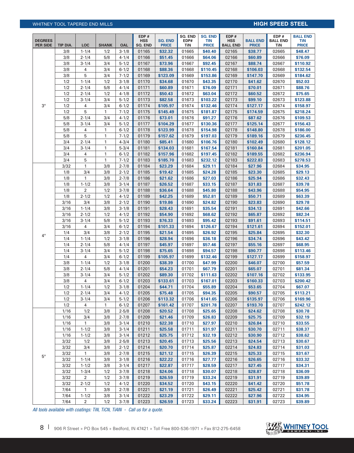# Whitney Tool Tapered END MILLS **HIGH SPEED STEEL**

|                                   |            |                        |              |                        | EDP#                  |                                | SQ. END        | <b>SQ. END</b>      | EDP#                          |                                 | EDP#                   | <b>BALL END</b>     |
|-----------------------------------|------------|------------------------|--------------|------------------------|-----------------------|--------------------------------|----------------|---------------------|-------------------------------|---------------------------------|------------------------|---------------------|
| <b>DEGREES</b><br><b>PER SIDE</b> | TIP DIA.   | <b>LOC</b>             | <b>SHANK</b> | <b>OAL</b>             | <b>HSS</b><br>SQ. END | <b>SQ. END</b><br><b>PRICE</b> | EDP#<br>TiN    | TIN<br><b>PRICE</b> | <b>HSS</b><br><b>BALL END</b> | <b>BALL END</b><br><b>PRICE</b> | <b>BALL END</b><br>TiN | TiN<br><b>PRICE</b> |
|                                   | 3/8        | $1 - 1/4$              | 1/2          | $3 - 1/8$              | 01165                 | \$32.32                        | 01665          | \$40.40             | 02165                         | \$38.77                         | 02665                  | \$48.47             |
|                                   | 3/8        | $2 - 1/4$              | 5/8          | $4 - 1/4$              | 01166                 | \$51.45                        | 01666          | \$64.06             | 02166                         | \$60.89                         | 02666                  | \$76.09             |
|                                   | 3/8        | $3 - 1/4$              | 3/4          | $5 - 1/2$              | 01167                 | \$73.96                        | 01667          | \$92.45             | 02167                         | \$88.74                         | 02667                  | \$110.92            |
|                                   | 3/8        | 4                      | 3/4          | $6 - 1/2$              | 01168                 | \$88.36                        | 01668          | \$110.45            | 02168                         | \$106.03                        | 02668                  | \$132.54            |
|                                   | 3/8        | 5                      | 3/4          | $7 - 1/2$              | 01169                 | \$123.09                       | 01669          | \$153.86            | 02169                         | \$147.70                        | 02669                  | \$184.62            |
|                                   | 1/2        | $1 - 1/4$              | 1/2          | $3 - 1/8$              | 01170                 | \$34.68                        | 01670          | \$43.35             | 02170                         | \$41.62                         | 02670                  | \$52.03             |
|                                   | 1/2        | $2 - 1/4$              | 5/8          | $4 - 1/4$              | 01171                 | \$60.89                        | 01671          | \$76.09             | 02171                         | \$70.01                         | 02671                  | \$88.76             |
|                                   | 1/2        | $2 - 1/4$              | 1/2          | $4 - 1/8$              | 01172                 | \$50.43                        | 01672          | \$63.04             | 02172                         | \$60.52                         | 02672                  | \$75.65             |
|                                   | 1/2        | $3 - 1/4$              | 3/4          | $5 - 1/2$              | 01173                 | \$82.58                        | 01673          | \$103.22            | 02173                         | \$99.10                         | 02673                  | \$123.88            |
| $3^\circ$                         | 1/2        | 4                      | 3/4          | $6 - 1/2$              | 01174                 | \$105.97                       | 01674          | \$132.46            | 02174                         | \$127.17                        | 02674                  | \$158.97            |
|                                   | 1/2        | 5                      | 1            | $7 - 1/2$              | 01175                 | \$145.49                       | 01675          | \$181.87            | 02175                         | \$174.59                        | 02675                  | \$218.24            |
|                                   | 5/8        | $2 - 1/4$              | 3/4          | $4 - 1/2$              | 01176                 | \$73.01                        | 01676          | \$91.27             | 02176                         | \$87.62                         | 02676                  | \$109.53            |
|                                   | 5/8        | $3 - 1/4$              | 3/4          | $5 - 1/2$              | 01177                 | \$104.29                       | 01677          | \$130.36            | 02177                         | \$125.14                        | 02677                  | \$156.43            |
|                                   | 5/8        | 4                      | 1            | $6 - 1/2$              | 01178                 | \$123.99                       | 01678          | \$154.98            | 02178                         | \$148.80                        | 02678                  | \$186.00            |
|                                   | 5/8        | 5                      | 1            | $7 - 1/2$              | 01179                 | \$157.62                       | 01679          | \$197.03            | 02179                         | \$189.16                        | 02679                  | \$236.45            |
|                                   | 3/4        | $2 - 1/4$              | 1            | $4 - 3/4$              | 01180                 | \$85.41                        | 01680          | \$106.76            | 02180                         | \$102.49                        | 02680                  | \$128.12            |
|                                   | 3/4        | $3 - 1/4$              | 1            | $5 - 3/4$              | 01181                 | \$134.03                       | 01681          | \$167.54            | 02181                         | \$160.84                        | 02681                  | \$201.05            |
|                                   | 3/4        | 4                      | 1            | $6 - 1/2$              | 01182                 | \$157.96                       | 01682          | \$197.45            | 02182                         | \$189.55                        | 02682                  | \$236.94            |
|                                   | 3/4        | 5                      | 1            | $7 - 1/2$              | 01183                 | \$185.70                       | 01683          | \$232.12            | 02183                         | \$222.83                        | 02683                  | \$278.53            |
|                                   | 3/32       | $\mathbf{1}$           | 3/8          | $2 - 7/8$              | 01184                 | \$23.29                        | 01684          | \$29.11             | 02184                         | \$27.96                         | 02684                  | \$34.95             |
|                                   | 1/8        | 3/4                    | 3/8          | $2 - 1/2$              | 01185                 | \$19.42                        | 01685          | \$24.28             | 02185                         | \$23.30                         | 02685                  | \$29.13             |
|                                   | 1/8        | 1                      | 3/8          | $2 - 7/8$              | 01186                 | \$21.62                        | 01686          | \$27.03             | 02186                         | \$25.94                         | 02686                  | \$32.43             |
|                                   | 1/8        | $1 - 1/2$              | 3/8          | $3 - 1/4$              | 01187                 | \$26.52                        | 01687          | \$33.15             | 02187                         | \$31.83                         | 02687                  | \$39.78             |
|                                   | 1/8        | $\overline{2}$         | 1/2          | $3 - 7/8$              | 01188                 | \$36.64                        | 01688          | \$45.80             | 02188                         | \$43.96                         | 02688                  | \$54.95             |
|                                   | 1/8        | $2 - 1/2$              | 1/2          | $4 - 1/2$              | 01189                 | \$42.25                        | 01689          | \$52.81             | 02189                         | \$50.71                         | 02689                  | \$63.39             |
|                                   | 3/16       | 3/4                    | 3/8          | $2 - 1/2$              | 01190                 | \$19.86                        | 01690          | \$24.82             | 02190                         | \$23.83                         | 02690                  | \$29.78             |
|                                   | 3/16       | $1 - 1/4$              | 3/8          | $3 - 1/8$              | 01191                 | \$28.43                        | 01691          | \$35.54             | 02191                         | \$34.13                         | 02691                  | \$42.66             |
|                                   | 3/16       | $2 - 1/2$              | 1/2          | $4 - 1/2$              | 01192                 | \$54.90                        | 01692          | \$68.62             | 02192                         | \$65.87                         | 02692                  | \$82.34             |
|                                   | 3/16       | $3 - 1/4$              | 5/8          | $5 - 1/2$              | 01193                 | \$76.33                        | 01693          | \$95.42             | 02193                         | \$91.61                         | 02693                  | \$114.51            |
|                                   | 3/16       | 4                      | 3/4          | $6 - 1/2$              | 01194                 | \$101.33                       | 01694          | \$126.67            | 02194                         | \$121.61                        | 02694                  | \$152.01            |
| $4^{\circ}$                       | 1/4        | 3/4                    | 3/8          | $2 - 1/2$              | 01195                 | \$21.54                        | 01695          | \$26.92             | 02195                         | \$25.84                         | 02695                  | \$32.30             |
|                                   | 1/4        | $1 - 1/4$              | 1/2          | $3 - 1/8$              | 01196                 | \$28.94                        | 01696          | \$36.18             | 02196                         | \$34.74                         | 02696                  | \$43.42             |
|                                   | 1/4        | $2 - 1/4$              | 5/8          | $4 - 1/4$              | 01197                 | \$45.97                        | 01697          | \$57.46             | 02197                         | \$55.16                         | 02697                  | \$68.95             |
|                                   | 1/4        | $3 - 1/4$              | 3/4          | $5 - 1/2$              | 01198                 | \$75.65                        | 01698          | \$94.57             | 02198                         | \$90.77                         | 02698                  | \$113.46            |
|                                   | 1/4        | 4                      | 3/4          | $6 - 1/2$              | 01199                 | \$105.97                       | 01699          | \$132.46            | 02199                         | \$127.17                        | 02699                  | \$158.97            |
|                                   | 3/8<br>3/8 | $1 - 1/4$<br>$2 - 1/4$ | 1/2<br>5/8   | $3 - 1/8$<br>$4 - 1/4$ | 01200                 | \$38.39                        | 01700<br>01701 | \$47.99             | 02200                         | \$46.07                         | 02700<br>02701         | \$57.59<br>\$81.34  |
|                                   | 3/8        | $3 - 1/4$              | 3/4          | $5 - 1/2$              | 01201<br>01202        | \$54.23<br>\$89.30             | 01702          | \$67.79<br>\$111.63 | 02201<br>02202                | \$65.07<br>\$107.16             | 02702                  | \$133.95            |
|                                   | 3/8        | 4                      | 3/4          | $6 - 1/2$              | 01203                 | \$133.61                       | 01703          | \$167.01            | 02203                         | \$160.33                        | 02703                  | \$200.42            |
|                                   | 1/2        | $1 - 1/4$              | 1/2          | $3 - 1/8$              | 01204                 | \$44.71                        | 01704          | \$55.89             | 02204                         | \$53.65                         | 02704                  | \$67.07             |
|                                   | 1/2        | $2 - 1/4$              | 3/4          | $4 - 1/2$              | 01205                 | \$75.48                        | 01705          | \$94.35             | 02205                         | \$90.57                         | 02705                  | \$113.21            |
|                                   | 1/2        | $3 - 1/4$              | 3/4          | $5 - 1/2$              | 01206                 | \$113.32                       | 01706          | \$141.65            | 02206                         | \$135.97                        | 02706                  | \$169.96            |
|                                   | 1/2        | 4                      | $\mathbf{1}$ | $6 - 1/2$              | 01207                 | \$161.42                       | 01707          | \$201.78            | 02207                         | \$193.70                        | 02707                  | \$242.12            |
|                                   | 1/16       | 1/2                    | 3/8          | $2 - 5/8$              | 01208                 | \$20.52                        | 01708          | \$25.65             | 02208                         | \$24.62                         | 02708                  | \$30.78             |
|                                   | 1/16       | 3/4                    | 3/8          | $2 - 7/8$              | 01209                 | \$21.46                        | 01709          | \$26.83             | 02209                         | \$25.75                         | 02709                  | \$32.19             |
|                                   | 1/16       | 1                      | 3/8          | $3 - 1/4$              | 01210                 | \$22.38                        | 01710          | \$27.97             | 02210                         | \$26.84                         | 02710                  | \$33.55             |
|                                   | 1/16       | $1 - 1/2$              | 3/8          | $3 - 1/4$              | 01211                 | \$25.58                        | 01711          | \$31.97             | 02211                         | \$30.70                         | 02711                  | \$38.37             |
|                                   | 1/16       | $1 - 1/2$              | 3/8          | $3 - 1/4$              | 01212                 | \$25.75                        | 01712          | \$32.19             | 02212                         | \$30.90                         | 02712                  | \$38.62             |
|                                   | 3/32       | 1/2                    | 3/8          | $2 - 5/8$              | 01213                 | \$20.45                        | 01713          | \$25.56             | 02213                         | \$24.54                         | 02713                  | \$30.67             |
|                                   | 3/32       | 3/4                    | 3/8          | $2 - 1/2$              | 01214                 | \$20.70                        | 01714          | \$25.87             | 02214                         | \$24.83                         | 02714                  | \$31.03             |
| $5^{\circ}$                       | 3/32       | $\mathbf{1}$           | 3/8          | $2 - 7/8$              | 01215                 | \$21.12                        | 01715          | \$26.39             | 02215                         | \$25.33                         | 02715                  | \$31.67             |
|                                   | 3/32       | $1 - 1/4$              | 3/8          | $3 - 1/8$              | 01216                 | \$22.22                        | 01716          | \$27.77             | 02216                         | \$26.65                         | 02716                  | \$33.32             |
|                                   | 3/32       | $1 - 1/2$              | 3/8          | $3 - 1/4$              | 01217                 | \$22.87                        | 01717          | \$28.59             | 02217                         | \$27.45                         | 02717                  | \$34.31             |
|                                   | 3/32       | $1 - 3/4$              | 1/2          | $3 - 7/8$              | 01218                 | \$24.06                        | 01718          | \$30.07             | 02218                         | \$28.87                         | 02718                  | \$36.09             |
|                                   | 3/32       | $\overline{2}$         | 1/2          | $3 - 7/8$              | 01219                 | \$26.59                        | 01719          | \$33.24             | 02219                         | \$31.91                         | 02719                  | \$39.89             |
|                                   | 3/32       | $2 - 1/2$              | 1/2          | $4 - 1/2$              | 01220                 | \$34.52                        | 01720          | \$43.15             | 02220                         | \$41.42                         | 02720                  | \$51.78             |
|                                   | 7/64       | 1                      | 3/8          | $2 - 7/8$              | 01221                 | \$21.19                        | 01721          | \$26.49             | 02221                         | \$25.42                         | 02721                  | \$31.78             |
|                                   | 7/64       | $1 - 1/2$              | 3/8          | $3 - 1/4$              | 01222                 | \$23.29                        | 01722          | \$29.11             | 02222                         | \$27.96                         | 02722                  | \$34.95             |
|                                   | 7/64       | $\overline{a}$         | 1/2          | $3 - 7/8$              | 01223                 | \$26.59                        | 01723          | \$33.24             | 02223                         | \$31.91                         | 02723                  | \$39.89             |

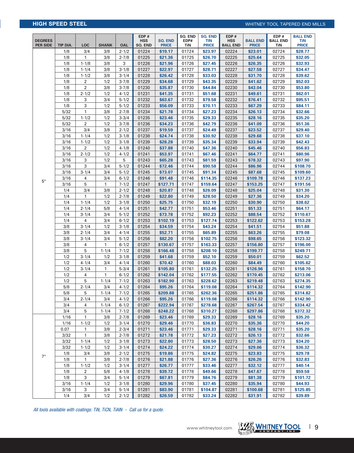# **HIGH SPEED STEEL HIGH SPEED STEEL WHITNEY TOOL TAPERED END MILLS**

| <b>DEGREES</b><br><b>PER SIDE</b> | TIP DIA.     | <b>LOC</b>     | <b>SHANK</b> | <b>OAL</b>             | EDP#<br><b>HSS</b><br><b>SQ. END</b> | <b>SQ. END</b><br><b>PRICE</b> | SQ. END<br>EDP#<br>TiN | <b>SQ. END</b><br><b>TIN</b><br><b>PRICE</b> | EDP#<br><b>HSS</b><br><b>BALL END</b> | <b>BALL END</b><br><b>PRICE</b> | EDP#<br><b>BALL END</b><br>TiN | <b>BALL END</b><br><b>TiN</b><br><b>PRICE</b> |
|-----------------------------------|--------------|----------------|--------------|------------------------|--------------------------------------|--------------------------------|------------------------|----------------------------------------------|---------------------------------------|---------------------------------|--------------------------------|-----------------------------------------------|
|                                   | 1/8          | 3/4            | 3/8          | $2 - 1/2$              | 01224                                | \$19.17                        | 01724                  | \$23.97                                      | 02224                                 | \$23.01                         | 02724                          | \$28.77                                       |
|                                   | 1/8          | $\mathbf{1}$   | 3/8          | $2 - 7/8$              | 01225                                | \$21.36                        | 01725                  | \$26.70                                      | 02225                                 | \$25.64                         | 02725                          | \$32.05                                       |
|                                   | 1/8          | $1 - 1/8$      | 3/8          | 3                      | 01226                                | \$21.96                        | 01726                  | \$27.45                                      | 02226                                 | \$26.35                         | 02726                          | \$32.93                                       |
|                                   | 1/8          | $1 - 1/4$      | 3/8          | $3 - 1/8$              | 01227                                | \$22.97                        | 01727                  | \$28.71                                      | 02227                                 | \$27.58                         | 02727                          | \$34.47                                       |
|                                   | 1/8          | $1 - 1/2$      | 3/8          | $3 - 1/4$              | 01228                                | \$26.42                        | 01728                  | \$33.03                                      | 02228                                 | \$31.70                         | 02728                          | \$39.62                                       |
|                                   | 1/8          | 2              | 1/2          | $3 - 7/8$              | 01229                                | \$34.68                        | 01729                  | \$43.35                                      | 02229                                 | \$41.62                         | 02729                          | \$52.03                                       |
|                                   | 1/8          | $\overline{2}$ | 3/8          | $3 - 7/8$              | 01230                                | \$35.87                        | 01730                  | \$44.84                                      | 02230                                 | \$43.04                         | 02730                          | \$53.80                                       |
|                                   | 1/8          | $2 - 1/2$      | 1/2          | $4 - 1/2$              | 01231                                | \$41.35                        | 01731                  | \$51.68                                      | 02231                                 | \$49.61                         | 02731                          | \$62.01                                       |
|                                   | 1/8          | 3              | 3/4          | $5 - 1/2$              | 01232                                | \$63.67                        | 01732                  | \$79.58                                      | 02232                                 | \$76.41                         | 02732                          | \$95.51                                       |
|                                   | 1/8          | 3              | 1/2          | $5 - 1/2$              | 01233                                | \$56.09                        | 01733                  | \$70.11                                      | 02233                                 | \$67.29                         | 02733                          | \$84.11                                       |
|                                   | 5/32         | $\mathbf{1}$   | 3/8          | $2 - 7/8$              | 01234                                | \$21.78                        | 01734                  | \$27.23                                      | 02234                                 | \$26.13                         | 02734                          | \$32.66                                       |
|                                   | 5/32         | $1 - 1/2$      | 1/2          | $3 - 3/4$              | 01235                                | \$23.46                        | 01735                  | \$29.33                                      | 02235                                 | \$28.16                         | 02735                          | \$35.20                                       |
|                                   | 5/32         | $\overline{2}$ | 1/2          | $3 - 7/8$              | 01236                                | \$34.23                        | 01736                  | \$42.79                                      | 02236                                 | \$41.09                         | 02736                          | \$51.36                                       |
|                                   | 3/16         | 3/4            | 3/8          | $2 - 1/2$              | 01237                                | \$19.59                        | 01737                  | \$24.49                                      | 02237                                 | \$23.52                         | 02737                          | \$29.40                                       |
|                                   | 3/16         | $1 - 1/4$      | 1/2          | $3 - 1/8$              | 01238                                | \$24.74                        | 01738                  | \$30.92                                      | 02238                                 | \$29.68                         | 02738                          | \$37.10                                       |
|                                   | 3/16         | $1 - 1/2$      | 1/2          | $3 - 1/8$              | 01239                                | \$28.28                        | 01739                  | \$35.34                                      | 02239                                 | \$33.94                         | 02739                          | \$42.43                                       |
|                                   | 3/16         | 2              | 1/2          | $4 - 1/8$              | 01240                                | \$37.88                        | 01740                  | \$47.36                                      | 02240                                 | \$45.46                         | 02740                          | \$56.83                                       |
|                                   | 3/16         | $2 - 1/2$      | 1/2          | $4 - 1/2$              | 01241                                | \$53.97                        | 01741                  | \$67.46                                      | 02241                                 | \$64.77                         | 02741                          | \$80.96                                       |
|                                   | 3/16         | 3              | 1/2          | 5                      | 01243                                | \$65.28                        | 01743                  | \$81.59                                      | 02243                                 | \$78.32                         | 02743                          | \$97.90                                       |
|                                   | 3/16         | 3              | 3/4          | $5 - 1/2$              | 01244                                | \$72.46                        | 01744                  | \$90.58                                      | 02244                                 | \$86.96                         | 02744                          | \$108.70                                      |
|                                   | 3/16         | $3 - 1/4$      | 3/4          | $5 - 1/2$              | 01245                                | \$73.07                        | 01745                  | \$91.34                                      | 02245                                 | \$87.68                         | 02745                          | \$109.60                                      |
| 5°                                | 3/16         | 4              | 3/4          | $6 - 1/2$              | 01246                                | \$91.48                        | 01746                  | \$114.35                                     | 02246                                 | \$109.78                        | 02746                          | \$137.23                                      |
|                                   | 3/16         | 5              | 1            | $7 - 1/2$              | 01247                                | \$127.71                       | 01747                  | \$159.64                                     | 02247                                 | \$153.25                        | 02747                          | \$191.56                                      |
|                                   | 1/4          | 3/4            | 3/8          | $2 - 1/2$              | 01248                                | \$20.87                        | 01748                  | \$26.09                                      | 02248                                 | \$25.04                         | 02748                          | \$31.30                                       |
|                                   | 1/4          | 1              | 1/2          | $2 - 7/8$              | 01249                                | \$22.80                        | 01749                  | \$28.50                                      | 02249                                 | \$27.36                         | 02749                          | \$34.20                                       |
|                                   | 1/4          | $1 - 1/4$      | 1/2          | $3 - 1/8$              | 01250                                | \$25.75                        | 01750                  | \$32.19                                      | 02250                                 | \$30.90                         | 02750                          | \$38.62                                       |
|                                   | 1/4          | $2 - 1/4$      | 5/8          | $4 - 1/4$              | 01251                                | \$42.77                        | 01751                  | \$53.46                                      | 02251                                 | \$51.33                         | 02751                          | \$64.17                                       |
|                                   | 1/4          | $3 - 1/4$      | 3/4          | $5 - 1/2$              | 01252                                | \$73.78                        | 01752                  | \$92.23                                      | 02252                                 | \$88.54                         | 02752                          | \$110.67                                      |
|                                   | 1/4          | 4              | 3/4          | $6 - 1/2$              | 01253                                | \$102.19                       | 01753                  | \$127.74                                     | 02253                                 | \$122.62                        | 02753                          | \$153.28                                      |
|                                   | 3/8          | $3 - 1/4$      | 1/2          | $3 - 1/8$              | 01254                                | \$34.59                        | 01754                  | \$43.24                                      | 02254                                 | \$41.51                         | 02754                          | \$51.88                                       |
|                                   | 3/8          | $2 - 1/4$      | 3/4          | $4 - 1/4$              | 01255                                | \$52.71                        | 01755                  | \$65.89                                      | 02255                                 | \$63.26                         | 02755                          | \$79.08                                       |
|                                   | 3/8          | $3 - 1/4$      | 3/4          | $5 - 1/2$              | 01256                                | \$82.20                        | 01756                  | \$102.75                                     | 02256                                 | \$98.65                         | 02756                          | \$123.32                                      |
|                                   | 3/8          | 4              | 1            | $6 - 1/2$              | 01257                                | \$130.67                       | 01757                  | \$163.33                                     | 02257                                 | \$156.80                        | 02757                          | \$196.00                                      |
|                                   | 3/8          | 5              | $1 - 1/4$    | $7 - 1/2$              | 01258                                | \$166.48                       | 01758                  | \$208.10                                     | 02258                                 | \$199.77                        | 02758                          | \$249.71                                      |
|                                   | 1/2          | $3 - 1/4$      | 1/2          | $3 - 1/8$              | 01259                                | \$41.68                        | 01759                  | \$52.10                                      | 02259                                 | \$50.01                         | 02759                          | \$62.52                                       |
|                                   | 1/2          | $4 - 1/4$      | 3/4          | $4 - 1/4$              | 01260                                | \$70.42                        | 01760                  | \$88.03                                      | 02260                                 | \$84.49                         | 02760                          | \$105.62                                      |
|                                   | 1/2          | $3 - 1/4$      | 1            | $5 - 3/4$              | 01261                                | \$105.80                       | 01761                  | \$132.25                                     | 02261                                 | \$126.96                        | 02761                          | \$158.70                                      |
|                                   | 1/2          | 4              | $\mathbf{1}$ | $6 - 1/2$              | 01262                                | \$142.04                       | 01762                  | \$177.55                                     | 02262                                 | \$170.45                        | 02762                          | \$213.06                                      |
|                                   | 1/2          | 5              | $1 - 1/4$    | $7 - 1/2$              | 01263                                | \$182.90                       | 01763                  | \$228.62                                     | 02263                                 | \$219.48                        | 02763                          | \$274.35                                      |
|                                   | 5/8          | $2 - 1/4$      | 3/4          | $4 - 1/2$              | 01264                                | \$95.26                        | 01764                  | \$119.08                                     | 02264                                 | \$114.32                        | 02764                          | \$142.90                                      |
|                                   | 5/8          | 5              | $1 - 1/4$    | $7 - 1/2$              | 01265                                | \$209.88                       | 01765                  | \$262.36                                     | 02265                                 | \$251.86                        | 02765                          | \$314.82                                      |
|                                   | 3/4          | $2 - 1/4$      | 3/4          | $4 - 1/2$              | 01266                                | \$95.26                        | 01766                  | \$119.08                                     | 02266                                 | \$114.32                        | 02766                          | \$142.90                                      |
|                                   | 3/4          | 4              | $1 - 1/4$    | $6 - 1/2$              | 01267                                | \$222.94                       | 01767                  | \$278.68                                     | 02267                                 | \$267.54                        | 02767                          | \$334.42                                      |
|                                   | 3/4          | 5              | $1 - 1/4$    | $7 - 1/2$              | 01268                                | \$248.22                       | 01768                  | \$310.27                                     | 02268                                 | \$297.86                        | 02768                          | \$372.32                                      |
|                                   | 1/16         | 1              | 3/8          | $2 - 7/8$              | 01269                                | \$23.46                        | 01769                  | \$29.33                                      | 02269                                 | \$28.16                         | 02769<br>02770                 | \$35.20                                       |
|                                   | 1/16         | $1 - 1/2$      | 1/2          | $3 - 1/4$              | 01270                                | \$29.46                        | 01770                  | \$36.83                                      | 02270                                 | \$35.36                         |                                | \$44.20                                       |
|                                   | 0.07         | 1              | 3/8          | $2 - 3/4$              | 01271                                | \$23.46                        | 01771                  | \$29.33                                      | 02271                                 | \$28.16                         | 02771<br>02772                 | \$35.20                                       |
|                                   | 3/32         | 1              | 3/8          | $2 - 7/8$              | 01272                                | \$21.78                        | 01772                  | \$27.23                                      | 02272                                 | \$26.13                         |                                | \$32.66                                       |
|                                   | 3/32         | $1 - 1/4$      | 1/2          | $3 - 1/8$              | 01273<br>01274                       | \$22.80                        | 01773                  | \$28.50<br>\$30.27                           | 02273                                 | \$27.36                         | 02773                          | \$34.20                                       |
|                                   | 3/32         | $1 - 1/2$      | 1/2          | $3 - 1/4$              |                                      | \$24.22                        | 01774                  |                                              | 02274                                 | \$29.06                         | 02774                          | \$36.32                                       |
| $7^\circ$                         | 1/8          | 3/4<br>1       | 3/8          | $2 - 1/2$              | 01275                                | \$19.86                        | 01775                  | \$24.82                                      | 02275                                 | \$23.83                         | 02775                          | \$29.78                                       |
|                                   | 1/8          |                | 3/8          | $2 - 7/8$              | 01276                                | \$21.88                        | 01776                  | \$27.36                                      | 02276                                 | \$26.26                         | 02776                          | \$32.83                                       |
|                                   | 1/8          | $1 - 1/2$      | 1/2          | $3 - 1/4$              | 01277                                | \$26.77                        | 01777                  | \$33.46                                      | 02277                                 | \$32.12                         | 02777                          | \$40.14                                       |
|                                   | 1/8<br>1/8   | 2<br>3         | 5/8<br>3/4   | $4 - 1/8$<br>$5 - 1/4$ | 01278<br>01279                       | \$39.72                        | 01778<br>01779         | \$49.66                                      | 02278                                 | \$47.67                         | 02778<br>02779                 | \$59.58                                       |
|                                   |              |                |              |                        |                                      | \$67.81                        |                        | \$84.76                                      | 02279                                 | \$81.38                         |                                | \$101.72                                      |
|                                   | 3/16<br>3/16 | $1 - 1/4$<br>3 | 1/2<br>3/4   | $3 - 1/8$<br>$5 - 1/4$ | 01280<br>01281                       | \$29.96                        | 01780                  | \$37.45                                      | 02280                                 | \$35.94                         | 02780                          | \$44.93<br>\$125.85                           |
|                                   | 1/4          | 3/4            |              |                        | 01282                                | \$83.90<br>\$26.59             | 01781<br>01782         | \$104.87                                     | 02281                                 | \$100.68                        | 02781<br>02782                 | \$39.89                                       |
|                                   |              |                | 1/2          | $2 - 1/2$              |                                      |                                |                        | \$33.24                                      | 02282                                 | \$31.91                         |                                |                                               |

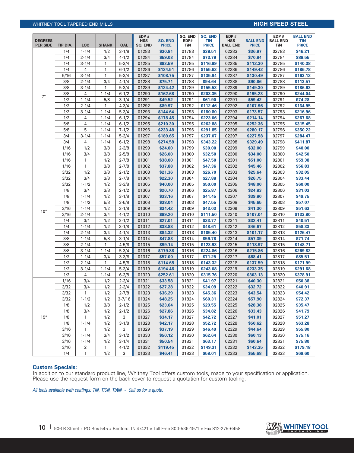# WHITNEY TOOL TAPERED END MILLS **high speed steel and the speed steel and step steel**

| <b>DEGREES</b><br><b>PER SIDE</b> | TIP DIA.     | <b>LOC</b>       | <b>SHANK</b>           | <b>OAL</b>              | EDP#<br><b>HSS</b><br>SQ. END | <b>SQ. END</b><br><b>PRICE</b> | SQ. END<br>EDP#<br>TiN | <b>SQ. END</b><br><b>TIN</b><br><b>PRICE</b> | EDP#<br><b>HSS</b><br><b>BALL END</b> | <b>BALL END</b><br><b>PRICE</b> | EDP#<br><b>BALL END</b><br>TiN | <b>BALL END</b><br><b>TiN</b><br><b>PRICE</b> |
|-----------------------------------|--------------|------------------|------------------------|-------------------------|-------------------------------|--------------------------------|------------------------|----------------------------------------------|---------------------------------------|---------------------------------|--------------------------------|-----------------------------------------------|
|                                   | 1/4          | $1 - 1/4$        | 1/2                    | $3 - 1/8$               | 01283                         | \$30.81                        | 01783                  | \$38.51                                      | 02283                                 | \$36.97                         | 02783                          | \$46.21                                       |
|                                   | 1/4          | $2 - 1/4$        | 3/4                    | $4 - 1/2$               | 01284                         | \$59.03                        | 01784                  | \$73.79                                      | 02284                                 | \$70.84                         | 02784                          | \$88.55                                       |
|                                   | 1/4          | $3 - 1/4$        | 1                      | $5 - 3/4$               | 01285                         | \$93.59                        | 01785                  | \$116.99                                     | 02285                                 | \$112.30                        | 02785                          | \$140.38                                      |
|                                   | 1/4          | 4                | 1                      | $6 - 1/2$               | 01286                         | \$124.51                       | 01786                  | \$155.63                                     | 02286                                 | \$149.42                        | 02786                          | \$186.78                                      |
|                                   | 5/16         | $3 - 1/4$        | $\mathbf{1}$           | $5 - 3/4$               | 01287                         | \$108.75                       | 01787                  | \$135.94                                     | 02287                                 | \$130.49                        | 02787                          | \$163.12                                      |
|                                   | 3/8          | $2 - 1/4$        | 3/4                    | $4 - 1/4$               | 01288                         | \$75.71                        | 01788                  | \$94.64                                      | 02288                                 | \$90.86                         | 02788                          | \$113.57                                      |
|                                   | 3/8          | $3 - 1/4$        | 1                      | $5 - 3/4$               | 01289                         | \$124.42                       | 01789                  | \$155.53                                     | 02289                                 | \$149.30                        | 02789                          | \$186.63                                      |
| $7^\circ$                         | 3/8          | 4                | $1 - 1/4$              | $6 - 1/2$               | 01290                         | \$162.68                       | 01790                  | \$203.35                                     | 02290                                 | \$195.23                        | 02790                          | \$244.04                                      |
|                                   | 1/2          | $1 - 1/4$        | 5/8                    | $3 - 1/4$               | 01291                         | \$49.52                        | 01791                  | \$61.90                                      | 02291                                 | \$59.42                         | 02791                          | \$74.28                                       |
|                                   | 1/2          | $2 - 1/4$        | 1                      | $4 - 3/4$               | 01292                         | \$89.97                        | 01792                  | \$112.46                                     | 02292                                 | \$107.96                        | 02792                          | \$134.95                                      |
|                                   | 1/2          | $3 - 1/4$        | $1 - 1/4$              | $5 - 3/4$               | 01293                         | \$144.64                       | 01793                  | \$180.80                                     | 02293                                 | \$173.57                        | 02793                          | \$216.96                                      |
|                                   | 1/2          | 4                | $1 - 1/4$              | $6 - 1/2$               | 01294                         | \$178.45                       | 01794                  | \$223.06                                     | 02294                                 | \$214.14                        | 02794                          | \$267.68                                      |
|                                   | 5/8          | 4                | $1 - 1/4$              | $6 - 1/2$               | 01295                         | \$210.30                       | 01795                  | \$262.88                                     | 02295                                 | \$252.36                        | 02795                          | \$315.45                                      |
|                                   | 5/8          | 5                | $1 - 1/4$              | $7 - 1/2$               | 01296                         | \$233.48                       | 01796                  | \$291.85                                     | 02296                                 | \$280.17                        | 02796                          | \$350.22                                      |
|                                   | 3/4          | $3 - 1/4$        | $1 - 1/4$              | $5 - 3/4$               | 01297                         | \$189.65                       | 01797                  | \$237.07                                     | 02297                                 | \$227.58                        | 02797                          | \$284.47                                      |
|                                   | 3/4          | 4                | $1 - 1/4$              | $6 - 1/2$               | 01298                         | \$274.58                       | 01798                  | \$343.22                                     | 02298                                 | \$329.49                        | 02798                          | \$411.87                                      |
|                                   | 1/16         | 1/2              | 3/8                    | $2 - 3/8$               | 01299                         | \$24.00                        | 01799                  | \$30.00                                      | 02299                                 | \$32.00                         | 02799                          | \$40.00                                       |
|                                   | 1/16         | 3/4              | 3/8                    | $2 - 5/8$               | 01300                         | \$26.00                        | 01800                  | \$32.50                                      | 02300                                 | \$34.00                         | 02800                          | \$42.50                                       |
|                                   | 1/16         | 1                | 1/2                    | $2 - 7/8$               | 01301                         | \$38.00                        | 01801                  | \$47.50                                      | 02301                                 | \$51.00                         | 02801                          | \$59.38                                       |
|                                   | 1/16         | 1                | 3/8                    | $2 - 7/8$               | 01302                         | \$37.88                        | 01802                  | \$47.36                                      | 02302                                 | \$45.46                         | 02802                          | \$56.83                                       |
|                                   | 3/32         | 1/2              | 3/8                    | $2 - 1/2$               | 01303                         | \$21.36                        | 01803                  | \$26.70                                      | 02303                                 | \$25.64                         | 02803                          | \$32.05                                       |
|                                   | 3/32         | 3/4              | 3/8                    | $2 - 7/8$               | 01304                         | \$22.30                        | 01804                  | \$27.88                                      | 02304                                 | \$26.75                         | 02804                          | \$33.44                                       |
|                                   | 3/32         | $1 - 1/2$        | 1/2                    | $3 - 3/8$               | 01305                         | \$40.00                        | 01805                  | \$50.00                                      | 02305                                 | \$48.00                         | 02805                          | \$60.00                                       |
|                                   | 1/8          | 3/4              | 3/8                    | $2 - 1/2$               | 01306                         | \$20.70                        | 01806                  | \$25.87                                      | 02306                                 | \$24.83                         | 02806                          | \$31.03                                       |
|                                   | 1/8          | $1 - 1/4$        | 1/2                    | $3 - 1/8$               | 01307                         | \$33.16                        | 01807                  | \$41.45                                      | 02307                                 | \$39.80                         | 02807                          | \$49.75                                       |
|                                   | 1/8          | $1 - 1/2$        | 5/8                    | $3 - 5/8$               | 01308                         | \$38.04                        | 01808                  | \$47.55                                      | 02308                                 | \$45.65                         | 02808                          | \$57.07                                       |
| $10^{\circ}$                      | 3/16         | $1 - 1/4$        | 1/2                    | $3 - 1/8$               | 01309                         | \$34.42                        | 01809                  | \$43.03                                      | 02309                                 | \$41.30                         | 02809                          | \$51.63                                       |
|                                   | 3/16         | $2 - 1/4$        | 3/4                    | $4 - 1/2$               | 01310                         | \$89.20                        | 01810                  | \$111.50                                     | 02310                                 | \$107.04                        | 02810                          | \$133.80                                      |
|                                   | 1/4          | 3/4              | 1/2                    | $2 - 1/2$               | 01311                         | \$27.01                        | 01811                  | \$33.77                                      | 02311                                 | \$32.41                         | 02811                          | \$40.51                                       |
|                                   | 1/4          | $1 - 1/4$        | 1/2                    | $3 - 1/8$               | 01312                         | \$38.88                        | 01812                  | \$48.61                                      | 02312                                 | \$46.67                         | 02812                          | \$58.33                                       |
|                                   | 1/4          | $2 - 1/4$        | 3/4                    | $4 - 1/4$               | 01313                         | \$84.32                        | 01813                  | \$105.40                                     | 02313                                 | \$101.17                        | 02813                          | \$126.47                                      |
|                                   | 3/8          | $1 - 1/4$        | 5/8                    | $3 - 1/4$               | 01314                         | \$47.83                        | 01814                  | \$59.78                                      | 02314                                 | \$57.39                         | 02814                          | \$71.74                                       |
|                                   | 3/8          | $2 - 1/4$        | 1                      | $4 - 5/8$               | 01315                         | \$99.14                        | 01815                  | \$123.93                                     | 02315                                 | \$118.97                        | 02815                          | \$148.71                                      |
|                                   | 3/8          | $3 - 1/4$        | $1 - 1/4$              | $5 - 3/4$               | 01316                         | \$179.88                       | 01816                  | \$224.86                                     | 02316                                 | \$215.86                        | 02816                          | \$269.82                                      |
|                                   | 1/2          | $1 - 1/4$        | 3/4                    | $3 - 3/8$               | 01317                         | \$57.00                        | 01817                  | \$71.25                                      | 02317                                 | \$68.41                         | 02817                          | \$85.51                                       |
|                                   | 1/2          | $2 - 1/4$        | 1                      | $4 - 5/8$               | 01318                         | \$114.65                       | 01818                  | \$143.32                                     | 02318                                 | \$137.59                        | 02818                          | \$171.99<br>\$291.68                          |
|                                   | 1/2<br>1/2   | $3 - 1/4$        | $1 - 1/4$<br>$1 - 1/4$ | $5 - 3/4$               | 01319                         | \$194.46                       | 01819                  | \$243.08                                     | 02319                                 | \$233.35                        | 02819                          |                                               |
|                                   |              | 4                |                        | $6 - 3/8$               | 01320<br>01321                | \$252.61                       | 01820                  | \$315.76                                     | 02320                                 | \$303.13                        | 02820                          | \$378.91                                      |
|                                   | 1/16         | 3/4              | 1/2                    | $2 - 3/4$               |                               | \$33.58                        | 01821                  | \$41.97<br>\$34.09                           | 02321                                 | \$40.30                         | 02821                          | \$50.38                                       |
|                                   | 3/32<br>3/32 | 3/4<br>1         | 1/2<br>1/2             | $2 - 3/4$<br>$2 - 7/8$  | 01322<br>01323                | \$27.28<br>\$36.29             | 01822<br>01823         | \$45.36                                      | 02322<br>02323                        | \$32.72<br>\$43.54              | 02822<br>02823                 | \$40.91<br>\$54.42                            |
|                                   | 3/32         |                  | 1/2                    |                         |                               | \$48.25                        |                        |                                              |                                       |                                 |                                |                                               |
|                                   | 1/8          | $1 - 1/2$<br>1/2 | 3/8                    | $3 - 7/16$<br>$2 - 1/2$ | 01324<br>01325                | \$23.64                        | 01824<br>01825         | \$60.31<br>\$29.55                           | 02324<br>02325                        | \$57.90<br>\$28.38              | 02824<br>02825                 | \$72.37<br>\$35.47                            |
|                                   | 1/8          | 3/4              | 1/2                    |                         | 01326                         |                                | 01826                  | \$34.82                                      | 02326                                 | \$33.43                         | 02826                          | \$41.79                                       |
| $15^{\circ}$                      | 1/8          | 1                | 1/2                    | $2 - 1/2$<br>3          | 01327                         | \$27.86<br>\$34.17             | 01827                  | \$42.72                                      | 02327                                 | \$41.01                         | 02827                          | \$51.27                                       |
|                                   | 1/8          | $1 - 1/4$        | 1/2                    | $3 - 1/8$               | 01328                         | \$42.17                        | 01828                  | \$52.72                                      | 02328                                 | \$50.62                         | 02828                          | \$63.28                                       |
|                                   | 3/16         | 1                | 1/2                    | 3                       | 01329                         | \$37.19                        | 01829                  | \$46.49                                      | 02329                                 | \$44.64                         | 02829                          | \$55.80                                       |
|                                   | 3/16         | $1 - 1/4$        | 3/4                    | $3 - 1/2$               | 01330                         | \$50.12                        | 01830                  | \$62.64                                      | 02330                                 | \$60.13                         | 02830                          | \$75.16                                       |
|                                   | 3/16         | $1 - 1/4$        | 1/2                    | $3 - 1/4$               | 01331                         | \$50.54                        | 01831                  | \$63.17                                      | 02331                                 | \$60.64                         | 02831                          | \$75.80                                       |
|                                   | 3/16         | 2                | 1                      | $4 - 1/2$               | 01332                         | \$119.45                       | 01832                  | \$149.31                                     | 02332                                 | \$143.35                        | 02832                          | \$179.18                                      |
|                                   | 1/4          | 1                | 1/2                    | 3                       | 01333                         | \$46.41                        | 01833                  | \$58.01                                      | 02333                                 | \$55.68                         | 02833                          | \$69.60                                       |

## **Custom Specials:**

In addition to our standard product line, Whitney Tool offers custom tools, made to your specification or application. Please use the request form on the back cover to request a quotation for custom tooling.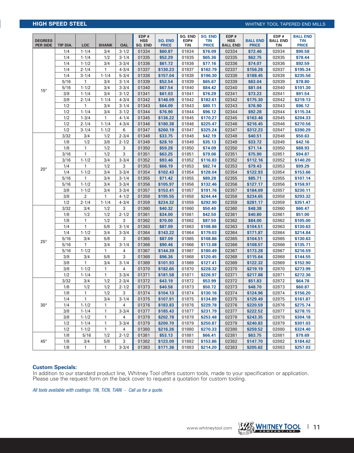# **HIGH SPEED STEEL** WHITNEY TOOL TAPERED END MILLS

| <b>DEGREES</b><br><b>PER SIDE</b> | TIP DIA. | <b>LOC</b>     | <b>SHANK</b> | <b>OAL</b> | EDP#<br><b>HSS</b><br>SQ. END | <b>SQ. END</b><br><b>PRICE</b> | <b>SO. END</b><br>EDP#<br>TiN | <b>SQ. END</b><br><b>TIN</b><br><b>PRICE</b> | EDP#<br><b>HSS</b><br><b>BALL END</b> | <b>BALL END</b><br><b>PRICE</b> | EDP#<br><b>BALL END</b><br>TiN | <b>BALL END</b><br><b>TiN</b><br><b>PRICE</b> |
|-----------------------------------|----------|----------------|--------------|------------|-------------------------------|--------------------------------|-------------------------------|----------------------------------------------|---------------------------------------|---------------------------------|--------------------------------|-----------------------------------------------|
|                                   | 1/4      | $1 - 1/4$      | 3/4          | $3 - 1/2$  | 01334                         | \$60.87                        | 01834                         | \$76.09                                      | 02334                                 | \$72.46                         | 02834                          | \$90.58                                       |
|                                   | 1/4      | $1 - 1/4$      | 1/2          | $3 - 1/4$  | 01335                         | \$52.29                        | 01835                         | \$65.36                                      | 02335                                 | \$62.75                         | 02835                          | \$78.44                                       |
|                                   | 1/4      | $1 - 1/2$      | 3/4          | $3 - 3/4$  | 01336                         | \$61.72                        | 01836                         | \$77.16                                      | 02336                                 | \$74.07                         | 02836                          | \$92.59                                       |
|                                   | 1/4      | $2 - 1/4$      | 1            | $4 - 3/4$  | 01337                         | \$130.23                       | 01837                         | \$162.79                                     | 02337                                 | \$156.28                        | 02837                          | \$195.34                                      |
|                                   | 1/4      | $3 - 1/4$      | $1 - 1/4$    | $5 - 3/4$  | 01338                         | \$157.04                       | 01838                         | \$196.30                                     | 02338                                 | \$188.45                        | 02838                          | \$235.56                                      |
|                                   | 5/16     | $\mathbf{1}$   | 3/4          | $3 - 1/4$  | 01339                         | \$52.54                        | 01839                         | \$65.67                                      | 02339                                 | \$63.04                         | 02839                          | \$78.80                                       |
| $15^{\circ}$                      | 5/16     | $1 - 1/2$      | 3/4          | $3 - 3/4$  | 01340                         | \$67.54                        | 01840                         | \$84.42                                      | 02340                                 | \$81.04                         | 02840                          | \$101.30                                      |
|                                   | 3/8      | $1 - 1/4$      | 3/4          | $3 - 1/2$  | 01341                         | \$61.03                        | 01841                         | \$76.29                                      | 02341                                 | \$73.23                         | 02841                          | \$91.54                                       |
|                                   | 3/8      | $2 - 1/4$      | $1 - 1/4$    | $4 - 3/4$  | 01342                         | \$146.09                       | 01842                         | \$182.61                                     | 02342                                 | \$175.30                        | 02842                          | \$219.13                                      |
|                                   | 1/2      | 1              | 3/4          | $3 - 1/4$  | 01343                         | \$64.09                        | 01843                         | \$80.11                                      | 02343                                 | \$76.90                         | 02843                          | \$96.12                                       |
|                                   | 1/2      | $1 - 1/4$      | 3/4          | $3 - 1/2$  | 01344                         | \$76.90                        | 01844                         | \$96.12                                      | 02344                                 | \$92.28                         | 02844                          | \$115.34                                      |
|                                   | 1/2      | $1 - 3/4$      | $\mathbf{1}$ | $4 - 1/4$  | 01345                         | \$136.22                       | 01845                         | \$170.27                                     | 02345                                 | \$163.46                        | 02845                          | \$204.33                                      |
|                                   | 1/2      | $2 - 1/4$      | $1 - 1/4$    | $4 - 3/4$  | 01346                         | \$180.38                       | 01846                         | \$225.47                                     | 02346                                 | \$216.45                        | 02846                          | \$270.56                                      |
|                                   | 1/2      | $3 - 1/4$      | $1 - 1/2$    | 6          | 01347                         | \$260.19                       | 01847                         | \$325.24                                     | 02347                                 | \$312.23                        | 02847                          | \$390.29                                      |
|                                   | 3/32     | 3/4            | 1/2          | $2 - 3/4$  | 01348                         | \$33.75                        | 01848                         | \$42.19                                      | 02348                                 | \$40.51                         | 02848                          | \$50.63                                       |
|                                   | 1/8      | 1/2            | 3/8          | $2 - 1/2$  | 01349                         | \$28.10                        | 01849                         | \$35.13                                      | 02349                                 | \$33.72                         | 02849                          | \$42.16                                       |
|                                   | 1/8      | 1              | 1/2          | 3          | 01350                         | \$59.28                        | 01850                         | \$74.09                                      | 02350                                 | \$71.14                         | 02850                          | \$88.93                                       |
|                                   | 3/16     | $\mathbf{1}$   | 1/2          | 3          | 01351                         | \$63.25                        | 01851                         | \$79.06                                      | 02351                                 | \$75.90                         | 02851                          | \$94.87                                       |
|                                   | 3/16     | $1 - 1/2$      | 3/4          | $3 - 3/4$  | 01352                         | \$93.46                        | 01852                         | \$116.83                                     | 02352                                 | \$112.16                        | 02852                          | \$140.20                                      |
| $20^{\circ}$                      | 1/4      | $\mathbf{1}$   | 1/2          | 3          | 01353                         | \$66.19                        | 01853                         | \$82.74                                      | 02353                                 | \$79.43                         | 02853                          | \$99.29                                       |
|                                   | 1/4      | $1 - 1/2$      | 3/4          | $3 - 3/4$  | 01354                         | \$102.43                       | 01854                         | \$128.04                                     | 02354                                 | \$122.93                        | 02854                          | \$153.66                                      |
|                                   | 5/16     | 1              | 3/4          | $3 - 1/4$  | 01355                         | \$71.42                        | 01855                         | \$89,28                                      | 02355                                 | \$85.71                         | 02855                          | \$107.14                                      |
|                                   | 5/16     | $1 - 1/2$      | 3/4          | $3 - 3/4$  | 01356                         | \$105.97                       | 01856                         | \$132.46                                     | 02356                                 | \$127.17                        | 02856                          | \$158.97                                      |
|                                   | 3/8      | $1 - 1/2$      | 3/4          | $3 - 3/4$  | 01357                         | \$153.41                       | 01857                         | \$191.76                                     | 02357                                 | \$184.09                        | 02857                          | \$230.11                                      |
|                                   | 3/8      | $\overline{2}$ | 1            | $4 - 1/2$  | 01358                         | \$195.55                       | 01858                         | \$244.44                                     | 02358                                 | \$234.65                        | 02858                          | \$293.32                                      |
|                                   | 1/2      | $2 - 1/4$      | $1 - 1/4$    | $4 - 3/4$  | 01359                         | \$234.32                       | 01859                         | \$292.90                                     | 02359                                 | \$281.17                        | 02859                          | \$351.47                                      |
|                                   | 3/32     | 3/4            | 1/2          | 3          | 01360                         | \$40.32                        | 01860                         | \$50.40                                      | 02360                                 | \$48.38                         | 02860                          | \$60.47                                       |
|                                   | 1/8      | 1/2            | 1/2          | $2 - 1/2$  | 01361                         | \$34.00                        | 01861                         | \$42.50                                      | 02361                                 | \$40.80                         | 02861                          | \$51.00                                       |
|                                   | 1/8      | 1              | 1/2          | 3          | 01362                         | \$70.00                        | 01862                         | \$87.50                                      | 02362                                 | \$84.00                         | 02862                          | \$105.00                                      |
|                                   | 1/4      | 1              | 5/8          | $3 - 1/4$  | 01363                         | \$87.09                        | 01863                         | \$108.86                                     | 02363                                 | \$104.51                        | 02863                          | \$130.63                                      |
|                                   | 1/4      | $1 - 1/2$      | 3/4          | $3 - 3/4$  | 01364                         | \$143.22                       | 01864                         | \$179.03                                     | 02364                                 | \$171.87                        | 02864                          | \$214.84                                      |
| $25^{\circ}$                      | 5/16     | 3/4            | 5/8          | 3          | 01365                         | \$87.09                        | 01865                         | \$108.86                                     | 02365                                 | \$104.51                        | 02865                          | \$130.63                                      |
|                                   | 5/16     | $\mathbf{1}$   | 3/4          | $3 - 1/4$  | 01366                         | \$90.46                        | 01866                         | \$113.08                                     | 02366                                 | \$108.57                        | 02866                          | \$135.71                                      |
|                                   | 5/16     | $1 - 1/2$      | $\mathbf{1}$ | 4          | 01367                         | \$144.39                       | 01867                         | \$180.49                                     | 02367                                 | \$173.28                        | 02867                          | \$216.59                                      |
|                                   | 3/8      | 3/4            | 5/8          | 3          | 01368                         | \$96.36                        | 01868                         | \$120.45                                     | 02368                                 | \$115.64                        | 02868                          | \$144.55                                      |
|                                   | 3/8      | 1              | 3/4          | $3 - 1/4$  | 01369                         | \$101.93                       | 01869                         | \$127.41                                     | 02369                                 | \$122.32                        | 02869                          | \$152.90                                      |
|                                   | 3/8      | $1 - 1/2$      | 1            | 4          | 01370                         | \$182.65                       | 01870                         | \$228.32                                     | 02370                                 | \$219.19                        | 02870                          | \$273.99                                      |
|                                   | 1/2      | $1 - 1/4$      | 1            | $3 - 3/4$  | 01371                         | \$181.58                       | 01871                         | \$226.97                                     | 02371                                 | \$217.88                        | 02871                          | \$272.36                                      |
|                                   | 3/32     | 3/4            | 1/2          | $2 - 3/4$  | 01372                         | \$43.19                        | 01872                         | \$53.99                                      | 02372                                 | \$51.83                         | 02872                          | \$64.78                                       |
|                                   | 1/8      | 1/2            | 1/2          | $2 - 1/2$  | 01373                         | \$40.58                        | 01873                         | \$50.72                                      | 02373                                 | \$48.70                         | 02873                          | \$60.87                                       |
|                                   | 1/8      | 1              | 1/2          | 3          | 01374                         | \$104.13                       | 01874                         | \$130.16                                     | 02374                                 | \$124.96                        | 02874                          | \$156.20                                      |
|                                   | 1/4      | $\mathbf{1}$   | 3/4          | $3 - 1/4$  | 01375                         | \$107.91                       | 01875                         | \$134.89                                     | 02375                                 | \$129.49                        | 02875                          | \$161.87                                      |
| $30^\circ$                        | 1/4      | $1 - 1/2$      | 1            | 4          | 01376                         | \$183.83                       | 01876                         | \$229.78                                     | 02376                                 | \$220.59                        | 02876                          | \$275.74                                      |
|                                   | 3/8      | $1 - 1/4$      | 1            | $3 - 3/4$  | 01377                         | \$185.43                       | 01877                         | \$231.79                                     | 02377                                 | \$222.52                        | 02877                          | \$278.15                                      |
|                                   | 3/8      | $1 - 1/2$      | 1            | 4          | 01378                         | \$202.78                       | 01878                         | \$253.48                                     | 02378                                 | \$243.35                        | 02878                          | \$304.18                                      |
|                                   | 1/2      | $1 - 1/4$      | $\mathbf{1}$ | $3 - 3/4$  | 01379                         | \$200.70                       | 01879                         | \$250.87                                     | 02379                                 | \$240.83                        | 02879                          | \$301.03                                      |
|                                   | 1/2      | $1 - 1/2$      | 1            | 4          | 01380                         | \$216.26                       | 01880                         | \$270.33                                     | 02380                                 | \$259.52                        | 02880                          | \$324.40                                      |
|                                   | 1/8      | 5/16           | 1/2          | $2 - 1/2$  | 01381                         | \$53.13                        | 01881                         | \$66.41                                      | 02381                                 | \$63.75                         | 02881                          | \$79.69                                       |
| $45^{\circ}$                      | 1/8      | 3/4            | 5/8          | 3          | 01382                         | \$123.09                       | 01882                         | \$153.86                                     | 02382                                 | \$147.70                        | 02882                          | \$184.62                                      |
|                                   | 1/8      | $\mathbf{1}$   | 1            | $3 - 3/4$  | 01383                         | \$171.36                       | 01883                         | \$214.20                                     | 02383                                 | \$205.62                        | 02883                          | \$257.03                                      |

## **Custom Specials:**

In addition to our standard product line, Whitney Tool offers custom tools, made to your specification or application. Please use the request form on the back cover to request a quotation for custom tooling.